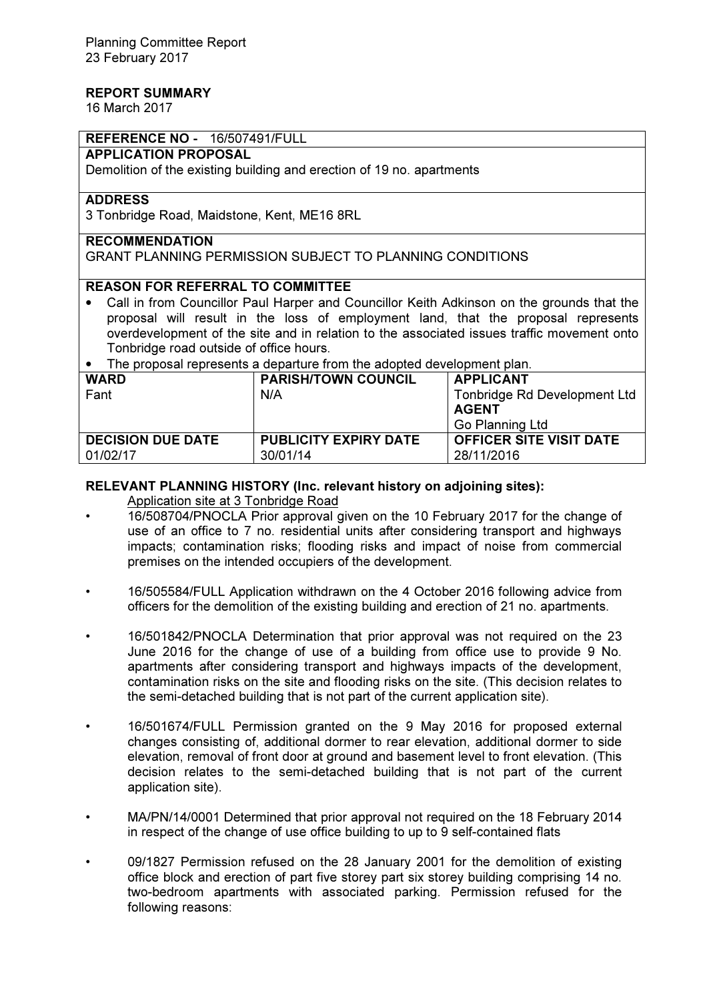# REPORT SUMMARY

16 March 2017

# REFERENCE NO - 16/507491/FULL

## APPLICATION PROPOSAL

Demolition of the existing building and erection of 19 no. apartments

## ADDRESS

3 Tonbridge Road, Maidstone, Kent, ME16 8RL

# RECOMMENDATION

GRANT PLANNING PERMISSION SUBJECT TO PLANNING CONDITIONS

# REASON FOR REFERRAL TO COMMITTEE

- Call in from Councillor Paul Harper and Councillor Keith Adkinson on the grounds that the proposal will result in the loss of employment land, that the proposal represents overdevelopment of the site and in relation to the associated issues traffic movement onto Tonbridge road outside of office hours.
- The proposal represents a departure from the adopted development plan.

| <b>WARD</b>              | <b>PARISH/TOWN COUNCIL</b>   | <b>APPLICANT</b>                    |  |  |
|--------------------------|------------------------------|-------------------------------------|--|--|
| Fant                     | N/A                          | <b>Tonbridge Rd Development Ltd</b> |  |  |
|                          |                              | <b>AGENT</b>                        |  |  |
|                          |                              | Go Planning Ltd                     |  |  |
| <b>DECISION DUE DATE</b> | <b>PUBLICITY EXPIRY DATE</b> | <b>OFFICER SITE VISIT DATE</b>      |  |  |
| 01/02/17                 | 30/01/14                     | 28/11/2016                          |  |  |
|                          |                              |                                     |  |  |

#### RELEVANT PLANNING HISTORY (Inc. relevant history on adjoining sites):

# Application site at 3 Tonbridge Road

- 16/508704/PNOCLA Prior approval given on the 10 February 2017 for the change of use of an office to 7 no. residential units after considering transport and highways impacts; contamination risks; flooding risks and impact of noise from commercial premises on the intended occupiers of the development.
- 16/505584/FULL Application withdrawn on the 4 October 2016 following advice from officers for the demolition of the existing building and erection of 21 no. apartments.
- 16/501842/PNOCLA Determination that prior approval was not required on the 23 June 2016 for the change of use of a building from office use to provide 9 No. apartments after considering transport and highways impacts of the development, contamination risks on the site and flooding risks on the site. (This decision relates to the semi-detached building that is not part of the current application site).
- 16/501674/FULL Permission granted on the 9 May 2016 for proposed external changes consisting of, additional dormer to rear elevation, additional dormer to side elevation, removal of front door at ground and basement level to front elevation. (This decision relates to the semi-detached building that is not part of the current application site).
- MA/PN/14/0001 Determined that prior approval not required on the 18 February 2014 in respect of the change of use office building to up to 9 self-contained flats
- 09/1827 Permission refused on the 28 January 2001 for the demolition of existing office block and erection of part five storey part six storey building comprising 14 no. two-bedroom apartments with associated parking. Permission refused for the following reasons: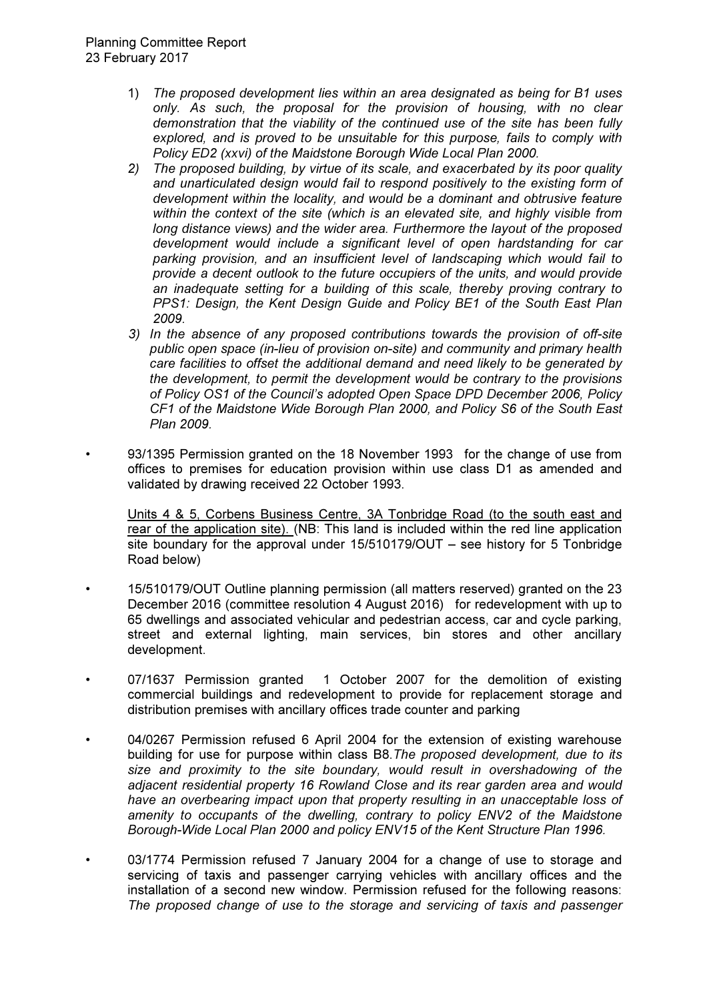- 1) The proposed development lies within an area designated as being for B1 uses only. As such, the proposal for the provision of housing, with no clear demonstration that the viability of the continued use of the site has been fully explored, and is proved to be unsuitable for this purpose, fails to comply with Policy ED2 (xxvi) of the Maidstone Borough Wide Local Plan 2000.
- 2) The proposed building, by virtue of its scale, and exacerbated by its poor quality and unarticulated design would fail to respond positively to the existing form of development within the locality, and would be a dominant and obtrusive feature within the context of the site (which is an elevated site, and highly visible from long distance views) and the wider area. Furthermore the layout of the proposed development would include a significant level of open hardstanding for car parking provision, and an insufficient level of landscaping which would fail to provide a decent outlook to the future occupiers of the units, and would provide an inadequate setting for a building of this scale, thereby proving contrary to PPS1: Design, the Kent Design Guide and Policy BE1 of the South East Plan 2009.
- 3) In the absence of any proposed contributions towards the provision of off-site public open space (in-lieu of provision on-site) and community and primary health care facilities to offset the additional demand and need likely to be generated by the development, to permit the development would be contrary to the provisions of Policy OS1 of the Council's adopted Open Space DPD December 2006, Policy CF1 of the Maidstone Wide Borough Plan 2000, and Policy S6 of the South East Plan 2009.
- 93/1395 Permission granted on the 18 November 1993 for the change of use from offices to premises for education provision within use class D1 as amended and validated by drawing received 22 October 1993.

Units 4 & 5, Corbens Business Centre, 3A Tonbridge Road (to the south east and rear of the application site). (NB: This land is included within the red line application site boundary for the approval under 15/510179/OUT – see history for 5 Tonbridge Road below)

- 15/510179/OUT Outline planning permission (all matters reserved) granted on the 23 December 2016 (committee resolution 4 August 2016) for redevelopment with up to 65 dwellings and associated vehicular and pedestrian access, car and cycle parking, street and external lighting, main services, bin stores and other ancillary development.
- 07/1637 Permission granted 1 October 2007 for the demolition of existing commercial buildings and redevelopment to provide for replacement storage and distribution premises with ancillary offices trade counter and parking
- 04/0267 Permission refused 6 April 2004 for the extension of existing warehouse building for use for purpose within class B8. The proposed development, due to its size and proximity to the site boundary, would result in overshadowing of the adjacent residential property 16 Rowland Close and its rear garden area and would have an overbearing impact upon that property resulting in an unacceptable loss of amenity to occupants of the dwelling, contrary to policy ENV2 of the Maidstone Borough-Wide Local Plan 2000 and policy ENV15 of the Kent Structure Plan 1996.
- 03/1774 Permission refused 7 January 2004 for a change of use to storage and servicing of taxis and passenger carrying vehicles with ancillary offices and the installation of a second new window. Permission refused for the following reasons: The proposed change of use to the storage and servicing of taxis and passenger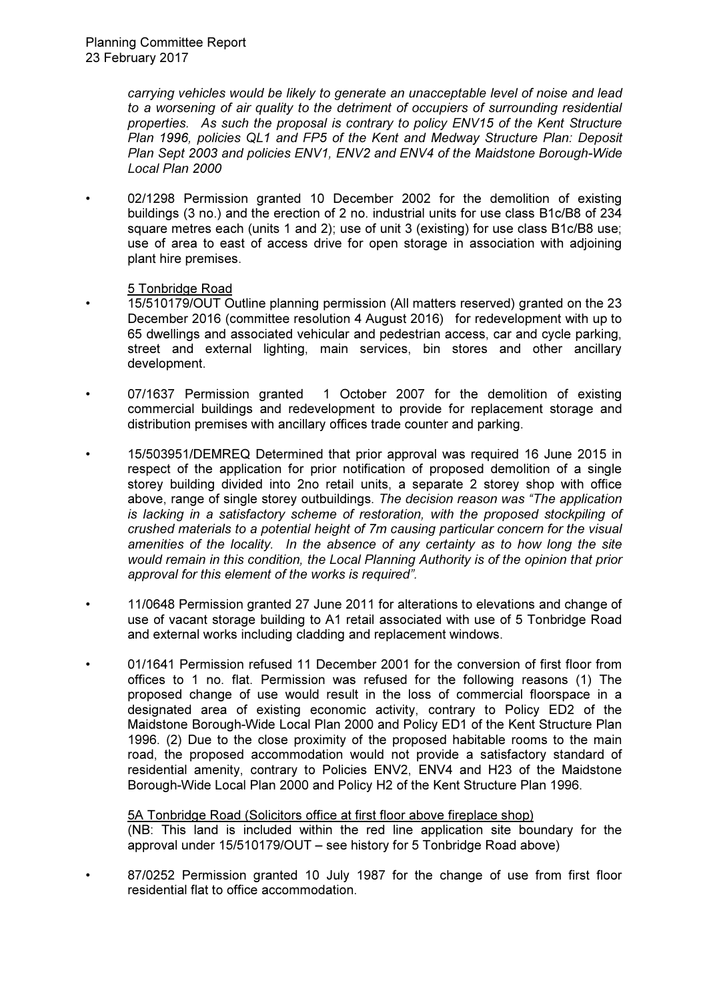carrying vehicles would be likely to generate an unacceptable level of noise and lead to a worsening of air quality to the detriment of occupiers of surrounding residential properties. As such the proposal is contrary to policy ENV15 of the Kent Structure Plan 1996, policies QL1 and FP5 of the Kent and Medway Structure Plan: Deposit Plan Sept 2003 and policies ENV1, ENV2 and ENV4 of the Maidstone Borough-Wide Local Plan 2000

02/1298 Permission granted 10 December 2002 for the demolition of existing buildings (3 no.) and the erection of 2 no. industrial units for use class B1c/B8 of 234 square metres each (units 1 and 2); use of unit 3 (existing) for use class B1c/B8 use; use of area to east of access drive for open storage in association with adjoining plant hire premises.

# 5 Tonbridge Road

- 15/510179/OUT Outline planning permission (All matters reserved) granted on the 23 December 2016 (committee resolution 4 August 2016) for redevelopment with up to 65 dwellings and associated vehicular and pedestrian access, car and cycle parking, street and external lighting, main services, bin stores and other ancillary development.
- 07/1637 Permission granted 1 October 2007 for the demolition of existing commercial buildings and redevelopment to provide for replacement storage and distribution premises with ancillary offices trade counter and parking.
- 15/503951/DEMREQ Determined that prior approval was required 16 June 2015 in respect of the application for prior notification of proposed demolition of a single storey building divided into 2no retail units, a separate 2 storey shop with office above, range of single storey outbuildings. The decision reason was "The application is lacking in a satisfactory scheme of restoration, with the proposed stockpiling of crushed materials to a potential height of 7m causing particular concern for the visual amenities of the locality. In the absence of any certainty as to how long the site would remain in this condition, the Local Planning Authority is of the opinion that prior approval for this element of the works is required".
- 11/0648 Permission granted 27 June 2011 for alterations to elevations and change of use of vacant storage building to A1 retail associated with use of 5 Tonbridge Road and external works including cladding and replacement windows.
- 01/1641 Permission refused 11 December 2001 for the conversion of first floor from offices to 1 no. flat. Permission was refused for the following reasons (1) The proposed change of use would result in the loss of commercial floorspace in a designated area of existing economic activity, contrary to Policy ED2 of the Maidstone Borough-Wide Local Plan 2000 and Policy ED1 of the Kent Structure Plan 1996. (2) Due to the close proximity of the proposed habitable rooms to the main road, the proposed accommodation would not provide a satisfactory standard of residential amenity, contrary to Policies ENV2, ENV4 and H23 of the Maidstone Borough-Wide Local Plan 2000 and Policy H2 of the Kent Structure Plan 1996.

5A Tonbridge Road (Solicitors office at first floor above fireplace shop) (NB: This land is included within the red line application site boundary for the approval under 15/510179/OUT – see history for 5 Tonbridge Road above)

• 87/0252 Permission granted 10 July 1987 for the change of use from first floor residential flat to office accommodation.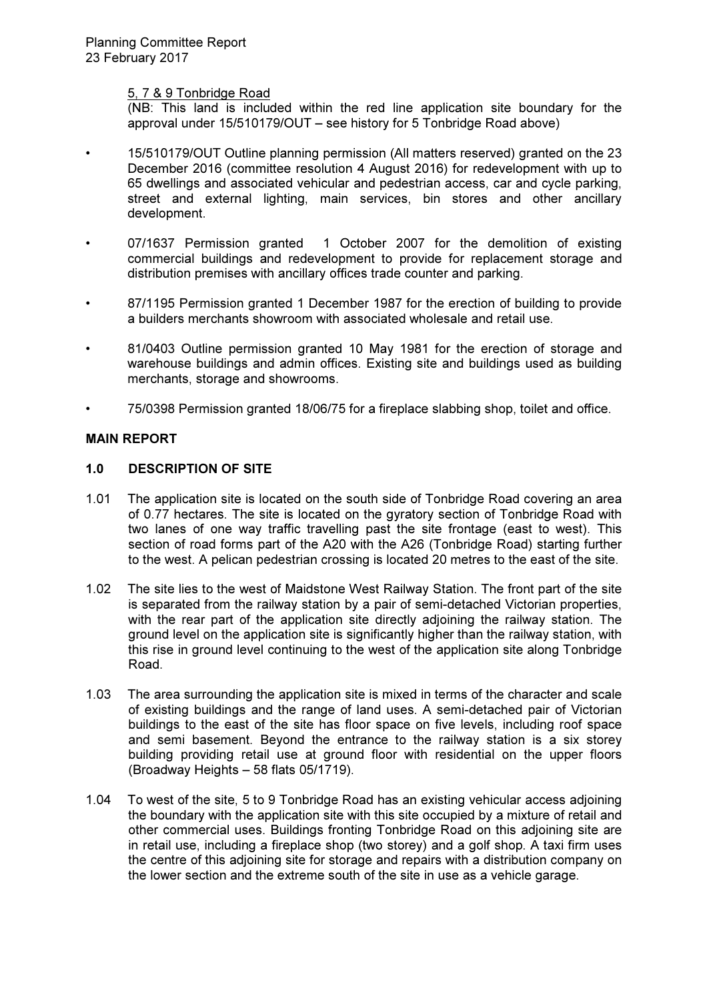## 5, 7 & 9 Tonbridge Road

(NB: This land is included within the red line application site boundary for the approval under 15/510179/OUT – see history for 5 Tonbridge Road above)

- 15/510179/OUT Outline planning permission (All matters reserved) granted on the 23 December 2016 (committee resolution 4 August 2016) for redevelopment with up to 65 dwellings and associated vehicular and pedestrian access, car and cycle parking, street and external lighting, main services, bin stores and other ancillary development.
- 07/1637 Permission granted 1 October 2007 for the demolition of existing commercial buildings and redevelopment to provide for replacement storage and distribution premises with ancillary offices trade counter and parking.
- 87/1195 Permission granted 1 December 1987 for the erection of building to provide a builders merchants showroom with associated wholesale and retail use.
- 81/0403 Outline permission granted 10 May 1981 for the erection of storage and warehouse buildings and admin offices. Existing site and buildings used as building merchants, storage and showrooms.
- 75/0398 Permission granted 18/06/75 for a fireplace slabbing shop, toilet and office.

# MAIN REPORT

## 1.0 DESCRIPTION OF SITE

- 1.01 The application site is located on the south side of Tonbridge Road covering an area of 0.77 hectares. The site is located on the gyratory section of Tonbridge Road with two lanes of one way traffic travelling past the site frontage (east to west). This section of road forms part of the A20 with the A26 (Tonbridge Road) starting further to the west. A pelican pedestrian crossing is located 20 metres to the east of the site.
- 1.02 The site lies to the west of Maidstone West Railway Station. The front part of the site is separated from the railway station by a pair of semi-detached Victorian properties, with the rear part of the application site directly adjoining the railway station. The ground level on the application site is significantly higher than the railway station, with this rise in ground level continuing to the west of the application site along Tonbridge Road.
- 1.03 The area surrounding the application site is mixed in terms of the character and scale of existing buildings and the range of land uses. A semi-detached pair of Victorian buildings to the east of the site has floor space on five levels, including roof space and semi basement. Beyond the entrance to the railway station is a six storey building providing retail use at ground floor with residential on the upper floors (Broadway Heights – 58 flats 05/1719).
- 1.04 To west of the site, 5 to 9 Tonbridge Road has an existing vehicular access adjoining the boundary with the application site with this site occupied by a mixture of retail and other commercial uses. Buildings fronting Tonbridge Road on this adjoining site are in retail use, including a fireplace shop (two storey) and a golf shop. A taxi firm uses the centre of this adjoining site for storage and repairs with a distribution company on the lower section and the extreme south of the site in use as a vehicle garage.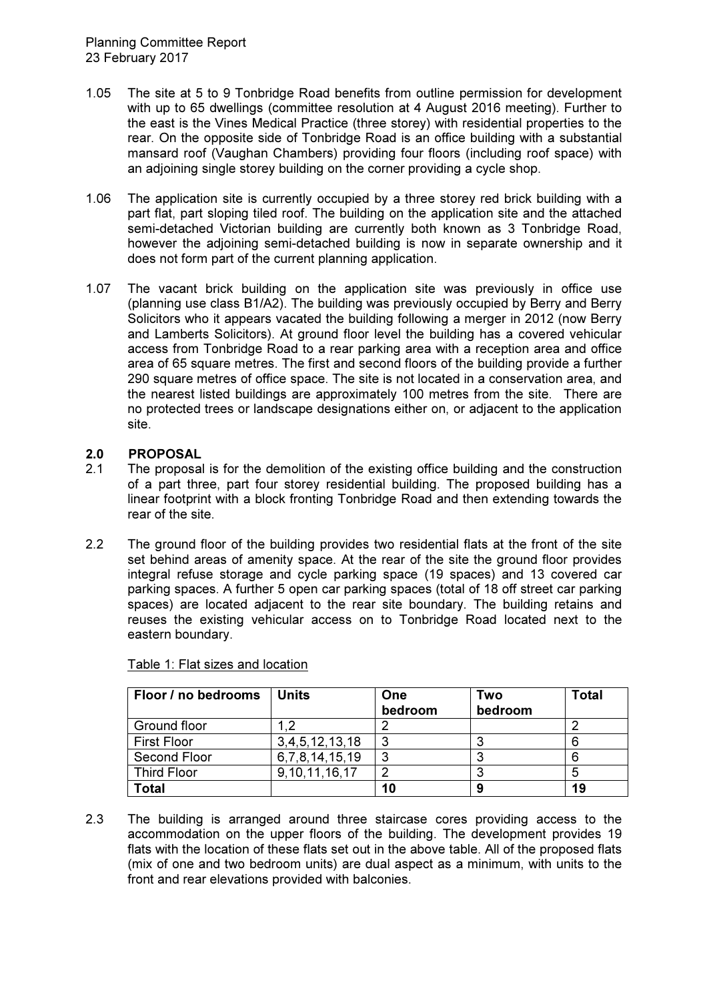- 1.05 The site at 5 to 9 Tonbridge Road benefits from outline permission for development with up to 65 dwellings (committee resolution at 4 August 2016 meeting). Further to the east is the Vines Medical Practice (three storey) with residential properties to the rear. On the opposite side of Tonbridge Road is an office building with a substantial mansard roof (Vaughan Chambers) providing four floors (including roof space) with an adjoining single storey building on the corner providing a cycle shop.
- 1.06 The application site is currently occupied by a three storey red brick building with a part flat, part sloping tiled roof. The building on the application site and the attached semi-detached Victorian building are currently both known as 3 Tonbridge Road, however the adjoining semi-detached building is now in separate ownership and it does not form part of the current planning application.
- 1.07 The vacant brick building on the application site was previously in office use (planning use class B1/A2). The building was previously occupied by Berry and Berry Solicitors who it appears vacated the building following a merger in 2012 (now Berry and Lamberts Solicitors). At ground floor level the building has a covered vehicular access from Tonbridge Road to a rear parking area with a reception area and office area of 65 square metres. The first and second floors of the building provide a further 290 square metres of office space. The site is not located in a conservation area, and the nearest listed buildings are approximately 100 metres from the site. There are no protected trees or landscape designations either on, or adjacent to the application site.

# 2.0 PROPOSAL

- 2.1 The proposal is for the demolition of the existing office building and the construction of a part three, part four storey residential building. The proposed building has a linear footprint with a block fronting Tonbridge Road and then extending towards the rear of the site.
- 2.2 The ground floor of the building provides two residential flats at the front of the site set behind areas of amenity space. At the rear of the site the ground floor provides integral refuse storage and cycle parking space (19 spaces) and 13 covered car parking spaces. A further 5 open car parking spaces (total of 18 off street car parking spaces) are located adjacent to the rear site boundary. The building retains and reuses the existing vehicular access on to Tonbridge Road located next to the eastern boundary.

| Floor / no bedrooms | Units               | One<br>bedroom | Two<br>bedroom | <b>Total</b> |
|---------------------|---------------------|----------------|----------------|--------------|
| Ground floor        | ົາ                  |                |                |              |
| <b>First Floor</b>  | 3,4,5,12,13,18      | -3             | ≏              |              |
| <b>Second Floor</b> | 6, 7, 8, 14, 15, 19 | -3             |                |              |
| <b>Third Floor</b>  | 9, 10, 11, 16, 17   | າ              | ິ              |              |
| <b>Total</b>        |                     | 10             | 9              | 19           |

|  |  | Table 1: Flat sizes and location |
|--|--|----------------------------------|
|  |  |                                  |

2.3 The building is arranged around three staircase cores providing access to the accommodation on the upper floors of the building. The development provides 19 flats with the location of these flats set out in the above table. All of the proposed flats (mix of one and two bedroom units) are dual aspect as a minimum, with units to the front and rear elevations provided with balconies.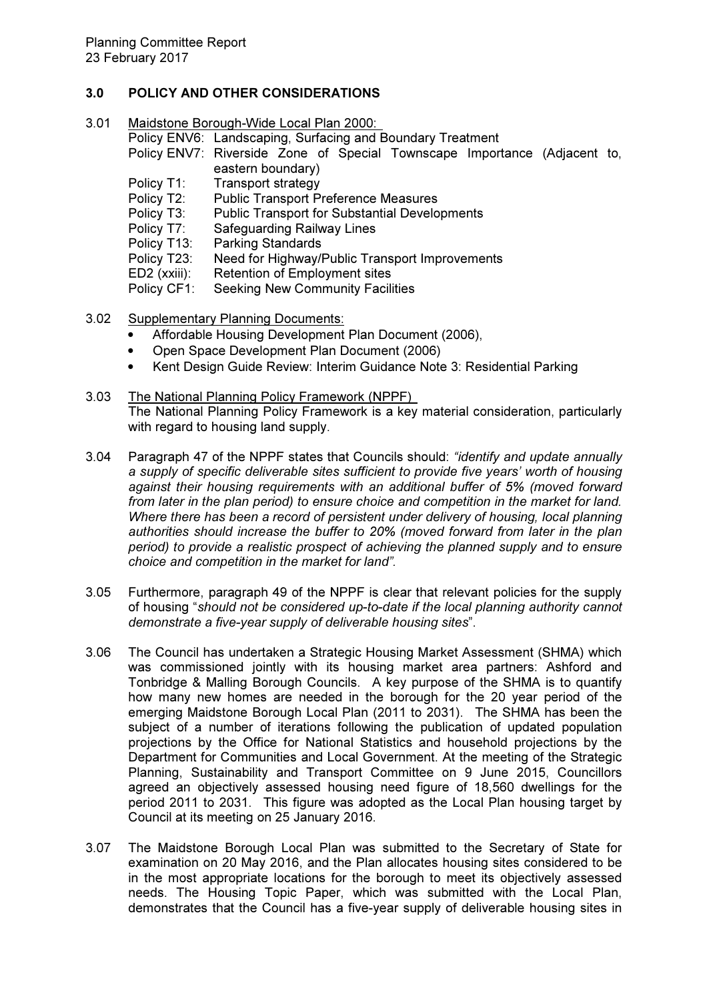# 3.0 POLICY AND OTHER CONSIDERATIONS

- 3.01 Maidstone Borough-Wide Local Plan 2000:
	- Policy ENV6: Landscaping, Surfacing and Boundary Treatment Policy ENV7: Riverside Zone of Special Townscape Importance (Adjacent to,
	- eastern boundary) Policy T1: Transport strategy
	- Policy T2: Public Transport Preference Measures
	- Policy T3: Public Transport for Substantial Developments<br>Policy T7: Safeguarding Railway Lines
	- Safeguarding Railway Lines
	- Policy T13: Parking Standards
	- Policy T23: Need for Highway/Public Transport Improvements
	- ED2 (xxiii): Retention of Employment sites
	- Policy CF1: Seeking New Community Facilities
- 3.02 Supplementary Planning Documents:
	- Affordable Housing Development Plan Document (2006),
	- Open Space Development Plan Document (2006)
	- Kent Design Guide Review: Interim Guidance Note 3: Residential Parking
- 3.03 The National Planning Policy Framework (NPPF) The National Planning Policy Framework is a key material consideration, particularly with regard to housing land supply.
- 3.04 Paragraph 47 of the NPPF states that Councils should: "identify and update annually a supply of specific deliverable sites sufficient to provide five years' worth of housing against their housing requirements with an additional buffer of 5% (moved forward from later in the plan period) to ensure choice and competition in the market for land. Where there has been a record of persistent under delivery of housing, local planning authorities should increase the buffer to 20% (moved forward from later in the plan period) to provide a realistic prospect of achieving the planned supply and to ensure choice and competition in the market for land".
- 3.05 Furthermore, paragraph 49 of the NPPF is clear that relevant policies for the supply of housing "should not be considered up-to-date if the local planning authority cannot demonstrate a five-year supply of deliverable housing sites".
- 3.06 The Council has undertaken a Strategic Housing Market Assessment (SHMA) which was commissioned jointly with its housing market area partners: Ashford and Tonbridge & Malling Borough Councils. A key purpose of the SHMA is to quantify how many new homes are needed in the borough for the 20 year period of the emerging Maidstone Borough Local Plan (2011 to 2031). The SHMA has been the subject of a number of iterations following the publication of updated population projections by the Office for National Statistics and household projections by the Department for Communities and Local Government. At the meeting of the Strategic Planning, Sustainability and Transport Committee on 9 June 2015, Councillors agreed an objectively assessed housing need figure of 18,560 dwellings for the period 2011 to 2031. This figure was adopted as the Local Plan housing target by Council at its meeting on 25 January 2016.
- 3.07 The Maidstone Borough Local Plan was submitted to the Secretary of State for examination on 20 May 2016, and the Plan allocates housing sites considered to be in the most appropriate locations for the borough to meet its objectively assessed needs. The Housing Topic Paper, which was submitted with the Local Plan, demonstrates that the Council has a five-year supply of deliverable housing sites in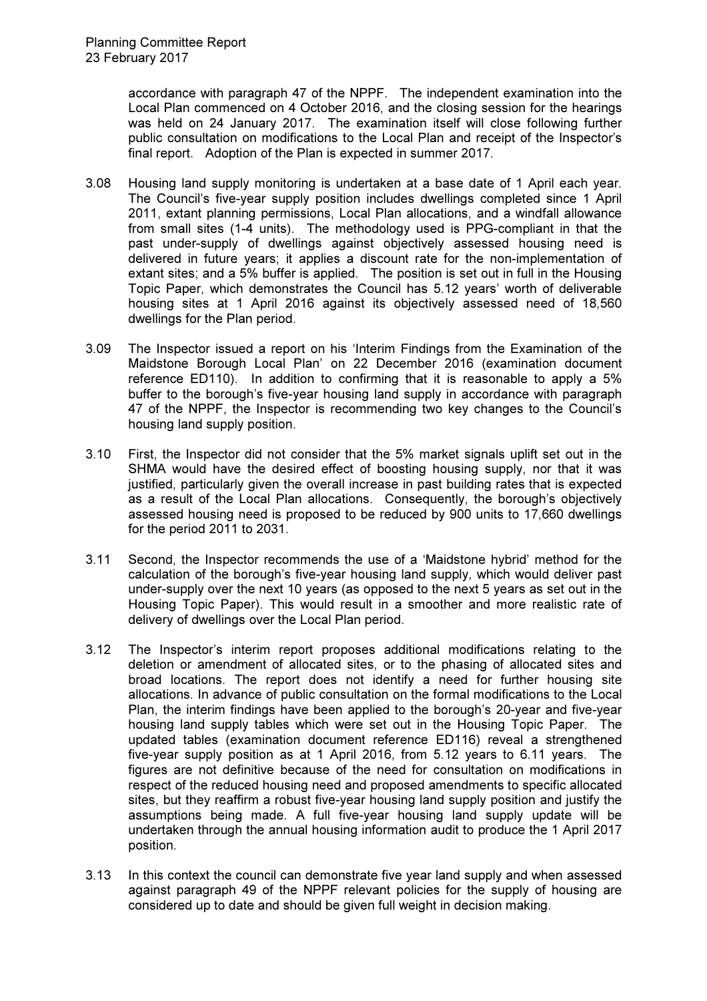accordance with paragraph 47 of the NPPF. The independent examination into the Local Plan commenced on 4 October 2016, and the closing session for the hearings was held on 24 January 2017. The examination itself will close following further public consultation on modifications to the Local Plan and receipt of the Inspector's final report. Adoption of the Plan is expected in summer 2017.

- 3.08 Housing land supply monitoring is undertaken at a base date of 1 April each year. The Council's five-year supply position includes dwellings completed since 1 April 2011, extant planning permissions, Local Plan allocations, and a windfall allowance from small sites (1-4 units). The methodology used is PPG-compliant in that the past under-supply of dwellings against objectively assessed housing need is delivered in future years; it applies a discount rate for the non-implementation of extant sites; and a 5% buffer is applied. The position is set out in full in the Housing Topic Paper, which demonstrates the Council has 5.12 years' worth of deliverable housing sites at 1 April 2016 against its objectively assessed need of 18,560 dwellings for the Plan period.
- 3.09 The Inspector issued a report on his 'Interim Findings from the Examination of the Maidstone Borough Local Plan' on 22 December 2016 (examination document reference ED110). In addition to confirming that it is reasonable to apply a 5% buffer to the borough's five-year housing land supply in accordance with paragraph 47 of the NPPF, the Inspector is recommending two key changes to the Council's housing land supply position.
- 3.10 First, the Inspector did not consider that the 5% market signals uplift set out in the SHMA would have the desired effect of boosting housing supply, nor that it was justified, particularly given the overall increase in past building rates that is expected as a result of the Local Plan allocations. Consequently, the borough's objectively assessed housing need is proposed to be reduced by 900 units to 17,660 dwellings for the period 2011 to 2031.
- 3.11 Second, the Inspector recommends the use of a 'Maidstone hybrid' method for the calculation of the borough's five-year housing land supply, which would deliver past under-supply over the next 10 years (as opposed to the next 5 years as set out in the Housing Topic Paper). This would result in a smoother and more realistic rate of delivery of dwellings over the Local Plan period.
- 3.12 The Inspector's interim report proposes additional modifications relating to the deletion or amendment of allocated sites, or to the phasing of allocated sites and broad locations. The report does not identify a need for further housing site allocations. In advance of public consultation on the formal modifications to the Local Plan, the interim findings have been applied to the borough's 20-year and five-year housing land supply tables which were set out in the Housing Topic Paper. The updated tables (examination document reference ED116) reveal a strengthened five-year supply position as at 1 April 2016, from 5.12 years to 6.11 years. The figures are not definitive because of the need for consultation on modifications in respect of the reduced housing need and proposed amendments to specific allocated sites, but they reaffirm a robust five-year housing land supply position and justify the assumptions being made. A full five-year housing land supply update will be undertaken through the annual housing information audit to produce the 1 April 2017 position.
- 3.13 In this context the council can demonstrate five year land supply and when assessed against paragraph 49 of the NPPF relevant policies for the supply of housing are considered up to date and should be given full weight in decision making.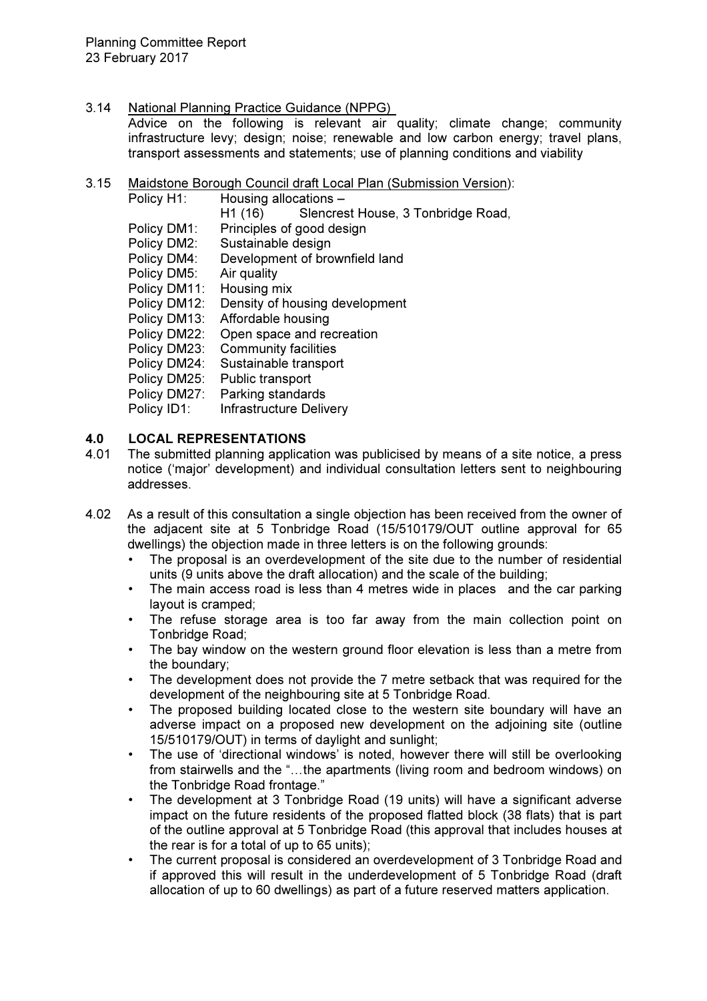3.14 National Planning Practice Guidance (NPPG)

Advice on the following is relevant air quality; climate change; community infrastructure levy; design; noise; renewable and low carbon energy; travel plans, transport assessments and statements; use of planning conditions and viability

3.15 Maidstone Borough Council draft Local Plan (Submission Version):

| Policy H1:   | Housing allocations -                         |
|--------------|-----------------------------------------------|
|              | Slencrest House, 3 Tonbridge Road,<br>H1 (16) |
| Policy DM1:  | Principles of good design                     |
| Policy DM2:  | Sustainable design                            |
| Policy DM4:  | Development of brownfield land                |
| Policy DM5:  | Air quality                                   |
| Policy DM11: | Housing mix                                   |
| Policy DM12: | Density of housing development                |
| Policy DM13: | Affordable housing                            |
| Policy DM22: | Open space and recreation                     |
| Policy DM23: | <b>Community facilities</b>                   |
| Policy DM24: | Sustainable transport                         |
| Policy DM25: | Public transport                              |
| Policy DM27: | Parking standards                             |
| Policy ID1:  | <b>Infrastructure Delivery</b>                |

# 4.0 LOCAL REPRESENTATIONS

- 4.01 The submitted planning application was publicised by means of a site notice, a press notice ('major' development) and individual consultation letters sent to neighbouring addresses.
- 4.02 As a result of this consultation a single objection has been received from the owner of the adjacent site at 5 Tonbridge Road (15/510179/OUT outline approval for 65 dwellings) the objection made in three letters is on the following grounds:
	- The proposal is an overdevelopment of the site due to the number of residential units (9 units above the draft allocation) and the scale of the building;
	- The main access road is less than 4 metres wide in places and the car parking layout is cramped;
	- The refuse storage area is too far away from the main collection point on Tonbridge Road;
	- The bay window on the western ground floor elevation is less than a metre from the boundary;
	- The development does not provide the 7 metre setback that was required for the development of the neighbouring site at 5 Tonbridge Road.
	- The proposed building located close to the western site boundary will have an adverse impact on a proposed new development on the adjoining site (outline 15/510179/OUT) in terms of daylight and sunlight;
	- The use of 'directional windows' is noted, however there will still be overlooking from stairwells and the "...the apartments (living room and bedroom windows) on the Tonbridge Road frontage."
	- The development at 3 Tonbridge Road (19 units) will have a significant adverse impact on the future residents of the proposed flatted block (38 flats) that is part of the outline approval at 5 Tonbridge Road (this approval that includes houses at the rear is for a total of up to 65 units);
	- The current proposal is considered an overdevelopment of 3 Tonbridge Road and if approved this will result in the underdevelopment of 5 Tonbridge Road (draft allocation of up to 60 dwellings) as part of a future reserved matters application.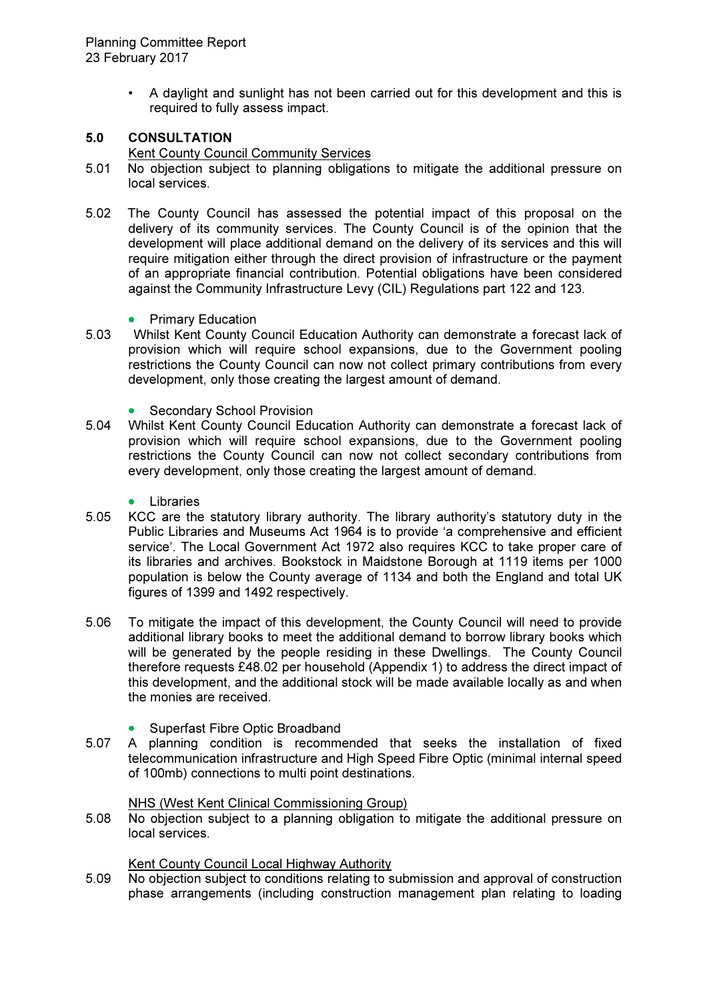• A daylight and sunlight has not been carried out for this development and this is required to fully assess impact.

# 5.0 CONSULTATION

Kent County Council Community Services

- 5.01 No objection subject to planning obligations to mitigate the additional pressure on local services.
- 5.02 The County Council has assessed the potential impact of this proposal on the delivery of its community services. The County Council is of the opinion that the development will place additional demand on the delivery of its services and this will require mitigation either through the direct provision of infrastructure or the payment of an appropriate financial contribution. Potential obligations have been considered against the Community Infrastructure Levy (CIL) Regulations part 122 and 123.
	- Primary Education
- 5.03 Whilst Kent County Council Education Authority can demonstrate a forecast lack of provision which will require school expansions, due to the Government pooling restrictions the County Council can now not collect primary contributions from every development, only those creating the largest amount of demand.
	- Secondary School Provision
- 5.04 Whilst Kent County Council Education Authority can demonstrate a forecast lack of provision which will require school expansions, due to the Government pooling restrictions the County Council can now not collect secondary contributions from every development, only those creating the largest amount of demand.
	- **Libraries**
- 5.05 KCC are the statutory library authority. The library authority's statutory duty in the Public Libraries and Museums Act 1964 is to provide 'a comprehensive and efficient service'. The Local Government Act 1972 also requires KCC to take proper care of its libraries and archives. Bookstock in Maidstone Borough at 1119 items per 1000 population is below the County average of 1134 and both the England and total UK figures of 1399 and 1492 respectively.
- 5.06 To mitigate the impact of this development, the County Council will need to provide additional library books to meet the additional demand to borrow library books which will be generated by the people residing in these Dwellings. The County Council therefore requests £48.02 per household (Appendix 1) to address the direct impact of this development, and the additional stock will be made available locally as and when the monies are received.
	- Superfast Fibre Optic Broadband
- 5.07 A planning condition is recommended that seeks the installation of fixed telecommunication infrastructure and High Speed Fibre Optic (minimal internal speed of 100mb) connections to multi point destinations.

#### NHS (West Kent Clinical Commissioning Group)

5.08 No objection subject to a planning obligation to mitigate the additional pressure on local services.

Kent County Council Local Highway Authority

5.09 No objection subject to conditions relating to submission and approval of construction phase arrangements (including construction management plan relating to loading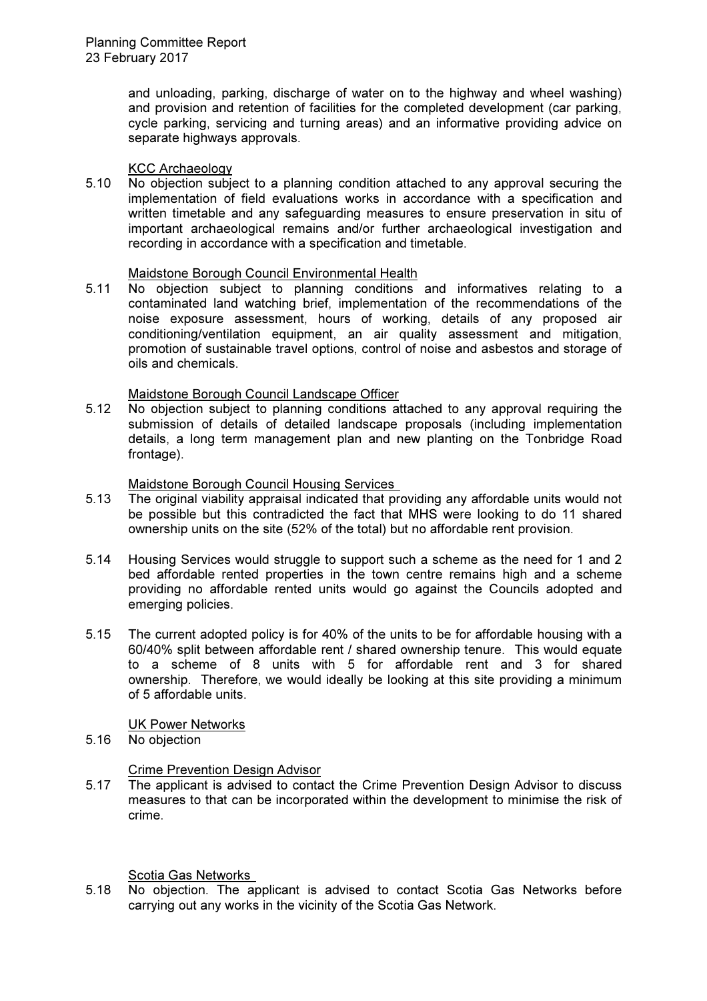and unloading, parking, discharge of water on to the highway and wheel washing) and provision and retention of facilities for the completed development (car parking, cycle parking, servicing and turning areas) and an informative providing advice on separate highways approvals.

**KCC Archaeology**<br>5.10 No objection subje No objection subject to a planning condition attached to any approval securing the implementation of field evaluations works in accordance with a specification and written timetable and any safeguarding measures to ensure preservation in situ of important archaeological remains and/or further archaeological investigation and recording in accordance with a specification and timetable.

## Maidstone Borough Council Environmental Health

5.11 No objection subject to planning conditions and informatives relating to a contaminated land watching brief, implementation of the recommendations of the noise exposure assessment, hours of working, details of any proposed air conditioning/ventilation equipment, an air quality assessment and mitigation, promotion of sustainable travel options, control of noise and asbestos and storage of oils and chemicals.

## Maidstone Borough Council Landscape Officer

5.12 No objection subject to planning conditions attached to any approval requiring the submission of details of detailed landscape proposals (including implementation details, a long term management plan and new planting on the Tonbridge Road frontage).

# Maidstone Borough Council Housing Services

- 5.13 The original viability appraisal indicated that providing any affordable units would not be possible but this contradicted the fact that MHS were looking to do 11 shared ownership units on the site (52% of the total) but no affordable rent provision.
- 5.14 Housing Services would struggle to support such a scheme as the need for 1 and 2 bed affordable rented properties in the town centre remains high and a scheme providing no affordable rented units would go against the Councils adopted and emerging policies.
- 5.15 The current adopted policy is for 40% of the units to be for affordable housing with a 60/40% split between affordable rent / shared ownership tenure. This would equate to a scheme of 8 units with 5 for affordable rent and 3 for shared ownership. Therefore, we would ideally be looking at this site providing a minimum of 5 affordable units.

#### UK Power Networks

5.16 No objection

# Crime Prevention Design Advisor

5.17 The applicant is advised to contact the Crime Prevention Design Advisor to discuss measures to that can be incorporated within the development to minimise the risk of crime.

#### Scotia Gas Networks

5.18 No objection. The applicant is advised to contact Scotia Gas Networks before carrying out any works in the vicinity of the Scotia Gas Network.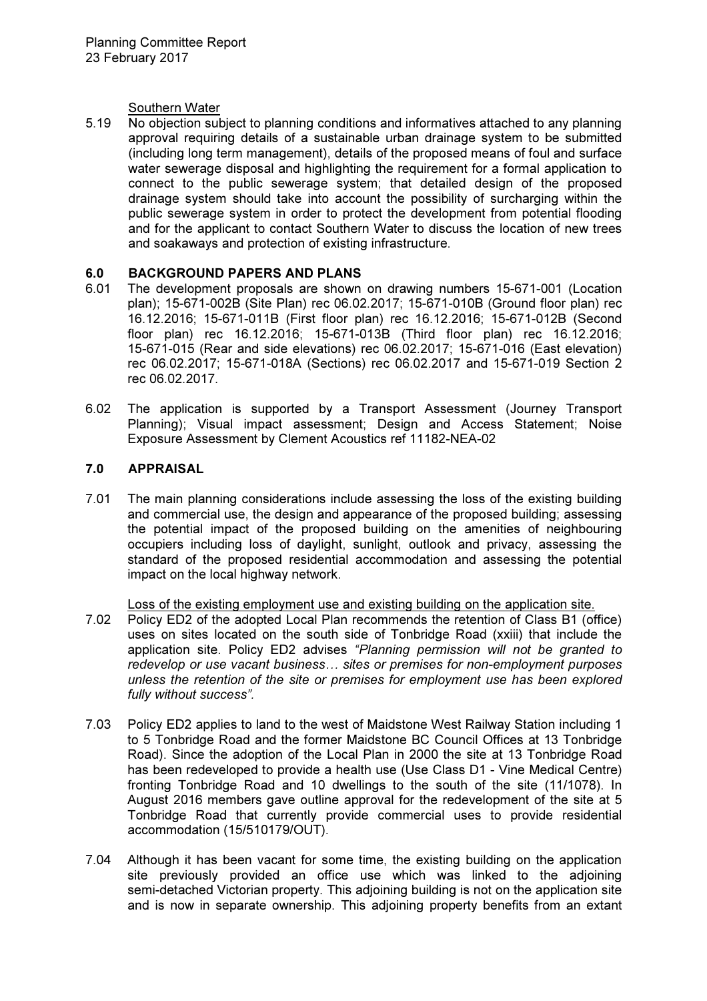## Southern Water

5.19 No objection subject to planning conditions and informatives attached to any planning approval requiring details of a sustainable urban drainage system to be submitted (including long term management), details of the proposed means of foul and surface water sewerage disposal and highlighting the requirement for a formal application to connect to the public sewerage system; that detailed design of the proposed drainage system should take into account the possibility of surcharging within the public sewerage system in order to protect the development from potential flooding and for the applicant to contact Southern Water to discuss the location of new trees and soakaways and protection of existing infrastructure.

# 6.0 BACKGROUND PAPERS AND PLANS

- 6.01 The development proposals are shown on drawing numbers 15-671-001 (Location plan); 15-671-002B (Site Plan) rec 06.02.2017; 15-671-010B (Ground floor plan) rec 16.12.2016; 15-671-011B (First floor plan) rec 16.12.2016; 15-671-012B (Second floor plan) rec 16.12.2016; 15-671-013B (Third floor plan) rec 16.12.2016; 15-671-015 (Rear and side elevations) rec 06.02.2017; 15-671-016 (East elevation) rec 06.02.2017; 15-671-018A (Sections) rec 06.02.2017 and 15-671-019 Section 2 rec 06.02.2017.
- 6.02 The application is supported by a Transport Assessment (Journey Transport Planning); Visual impact assessment; Design and Access Statement; Noise Exposure Assessment by Clement Acoustics ref 11182-NEA-02

# 7.0 APPRAISAL

7.01 The main planning considerations include assessing the loss of the existing building and commercial use, the design and appearance of the proposed building; assessing the potential impact of the proposed building on the amenities of neighbouring occupiers including loss of daylight, sunlight, outlook and privacy, assessing the standard of the proposed residential accommodation and assessing the potential impact on the local highway network.

Loss of the existing employment use and existing building on the application site.

- 7.02 Policy ED2 of the adopted Local Plan recommends the retention of Class B1 (office) uses on sites located on the south side of Tonbridge Road (xxiii) that include the application site. Policy ED2 advises "Planning permission will not be granted to redevelop or use vacant business... sites or premises for non-employment purposes unless the retention of the site or premises for employment use has been explored fully without success".
- 7.03 Policy ED2 applies to land to the west of Maidstone West Railway Station including 1 to 5 Tonbridge Road and the former Maidstone BC Council Offices at 13 Tonbridge Road). Since the adoption of the Local Plan in 2000 the site at 13 Tonbridge Road has been redeveloped to provide a health use (Use Class D1 - Vine Medical Centre) fronting Tonbridge Road and 10 dwellings to the south of the site (11/1078). In August 2016 members gave outline approval for the redevelopment of the site at 5 Tonbridge Road that currently provide commercial uses to provide residential accommodation (15/510179/OUT).
- 7.04 Although it has been vacant for some time, the existing building on the application site previously provided an office use which was linked to the adjoining semi-detached Victorian property. This adjoining building is not on the application site and is now in separate ownership. This adjoining property benefits from an extant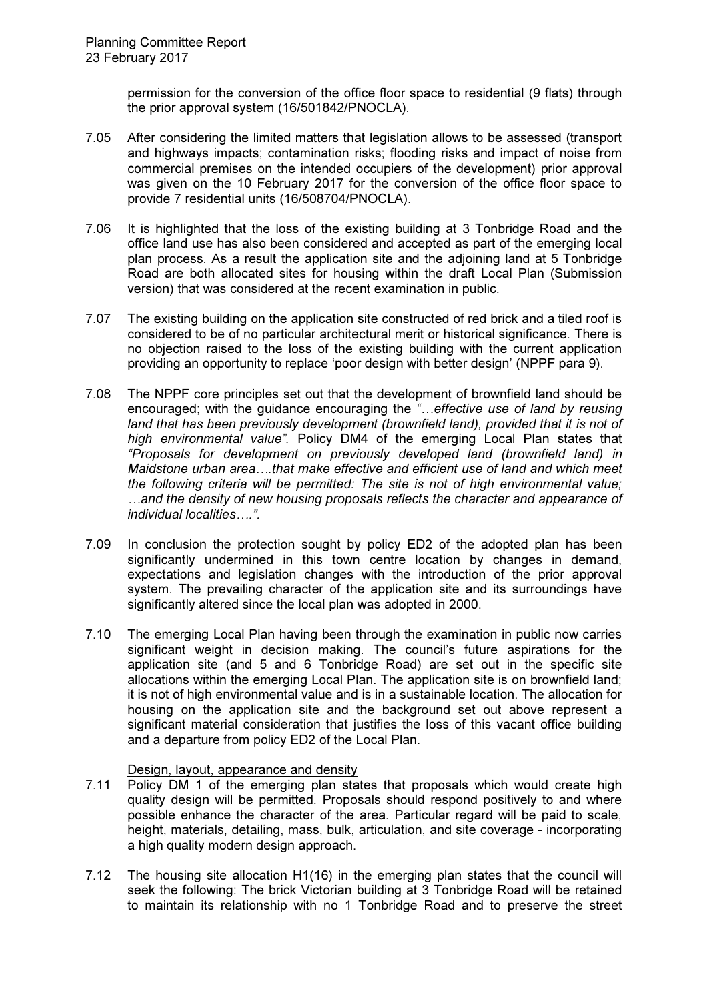permission for the conversion of the office floor space to residential (9 flats) through the prior approval system (16/501842/PNOCLA).

- 7.05 After considering the limited matters that legislation allows to be assessed (transport and highways impacts; contamination risks; flooding risks and impact of noise from commercial premises on the intended occupiers of the development) prior approval was given on the 10 February 2017 for the conversion of the office floor space to provide 7 residential units (16/508704/PNOCLA).
- 7.06 It is highlighted that the loss of the existing building at 3 Tonbridge Road and the office land use has also been considered and accepted as part of the emerging local plan process. As a result the application site and the adjoining land at 5 Tonbridge Road are both allocated sites for housing within the draft Local Plan (Submission version) that was considered at the recent examination in public.
- 7.07 The existing building on the application site constructed of red brick and a tiled roof is considered to be of no particular architectural merit or historical significance. There is no objection raised to the loss of the existing building with the current application providing an opportunity to replace 'poor design with better design' (NPPF para 9).
- 7.08 The NPPF core principles set out that the development of brownfield land should be encouraged; with the guidance encouraging the "...effective use of land by reusing land that has been previously development (brownfield land), provided that it is not of high environmental value". Policy DM4 of the emerging Local Plan states that "Proposals for development on previously developed land (brownfield land) in Maidstone urban area...that make effective and efficient use of land and which meet the following criteria will be permitted: The site is not of high environmental value; ...and the density of new housing proposals reflects the character and appearance of individual localities....".
- 7.09 In conclusion the protection sought by policy ED2 of the adopted plan has been significantly undermined in this town centre location by changes in demand, expectations and legislation changes with the introduction of the prior approval system. The prevailing character of the application site and its surroundings have significantly altered since the local plan was adopted in 2000.
- 7.10 The emerging Local Plan having been through the examination in public now carries significant weight in decision making. The council's future aspirations for the application site (and 5 and 6 Tonbridge Road) are set out in the specific site allocations within the emerging Local Plan. The application site is on brownfield land; it is not of high environmental value and is in a sustainable location. The allocation for housing on the application site and the background set out above represent a significant material consideration that justifies the loss of this vacant office building and a departure from policy ED2 of the Local Plan.

#### Design, layout, appearance and density

- 7.11 Policy DM 1 of the emerging plan states that proposals which would create high quality design will be permitted. Proposals should respond positively to and where possible enhance the character of the area. Particular regard will be paid to scale, height, materials, detailing, mass, bulk, articulation, and site coverage - incorporating a high quality modern design approach.
- 7.12 The housing site allocation H1(16) in the emerging plan states that the council will seek the following: The brick Victorian building at 3 Tonbridge Road will be retained to maintain its relationship with no 1 Tonbridge Road and to preserve the street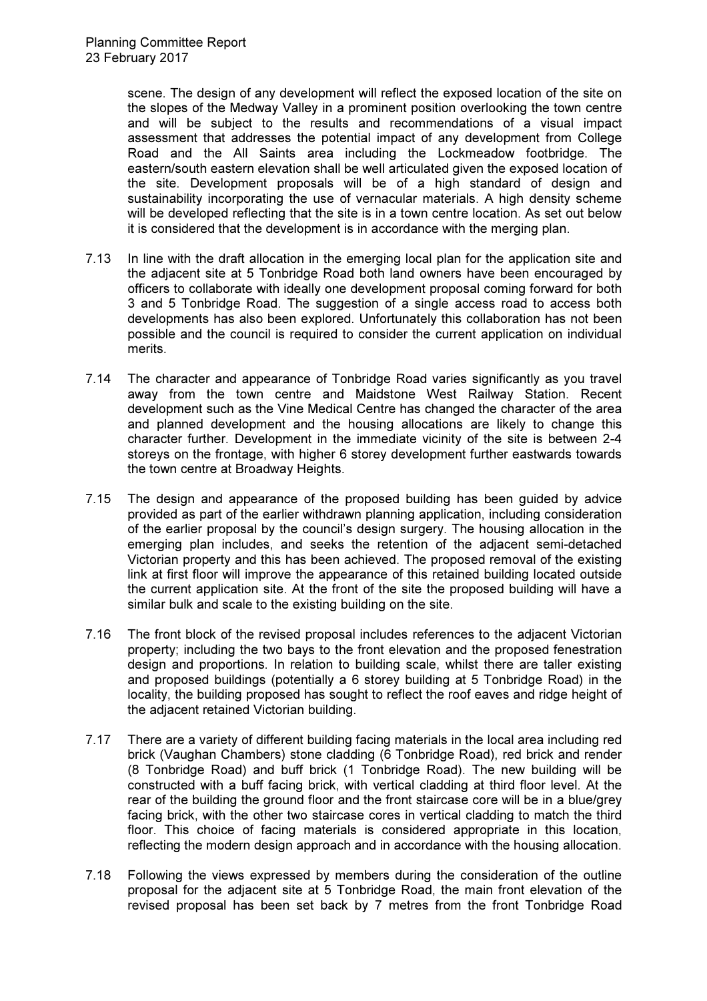scene. The design of any development will reflect the exposed location of the site on the slopes of the Medway Valley in a prominent position overlooking the town centre and will be subject to the results and recommendations of a visual impact assessment that addresses the potential impact of any development from College Road and the All Saints area including the Lockmeadow footbridge. The eastern/south eastern elevation shall be well articulated given the exposed location of the site. Development proposals will be of a high standard of design and sustainability incorporating the use of vernacular materials. A high density scheme will be developed reflecting that the site is in a town centre location. As set out below it is considered that the development is in accordance with the merging plan.

- 7.13 In line with the draft allocation in the emerging local plan for the application site and the adjacent site at 5 Tonbridge Road both land owners have been encouraged by officers to collaborate with ideally one development proposal coming forward for both 3 and 5 Tonbridge Road. The suggestion of a single access road to access both developments has also been explored. Unfortunately this collaboration has not been possible and the council is required to consider the current application on individual merits.
- 7.14 The character and appearance of Tonbridge Road varies significantly as you travel away from the town centre and Maidstone West Railway Station. Recent development such as the Vine Medical Centre has changed the character of the area and planned development and the housing allocations are likely to change this character further. Development in the immediate vicinity of the site is between 2-4 storeys on the frontage, with higher 6 storey development further eastwards towards the town centre at Broadway Heights.
- 7.15 The design and appearance of the proposed building has been guided by advice provided as part of the earlier withdrawn planning application, including consideration of the earlier proposal by the council's design surgery. The housing allocation in the emerging plan includes, and seeks the retention of the adjacent semi-detached Victorian property and this has been achieved. The proposed removal of the existing link at first floor will improve the appearance of this retained building located outside the current application site. At the front of the site the proposed building will have a similar bulk and scale to the existing building on the site.
- 7.16 The front block of the revised proposal includes references to the adjacent Victorian property; including the two bays to the front elevation and the proposed fenestration design and proportions. In relation to building scale, whilst there are taller existing and proposed buildings (potentially a 6 storey building at 5 Tonbridge Road) in the locality, the building proposed has sought to reflect the roof eaves and ridge height of the adjacent retained Victorian building.
- 7.17 There are a variety of different building facing materials in the local area including red brick (Vaughan Chambers) stone cladding (6 Tonbridge Road), red brick and render (8 Tonbridge Road) and buff brick (1 Tonbridge Road). The new building will be constructed with a buff facing brick, with vertical cladding at third floor level. At the rear of the building the ground floor and the front staircase core will be in a blue/grey facing brick, with the other two staircase cores in vertical cladding to match the third floor. This choice of facing materials is considered appropriate in this location, reflecting the modern design approach and in accordance with the housing allocation.
- 7.18 Following the views expressed by members during the consideration of the outline proposal for the adjacent site at 5 Tonbridge Road, the main front elevation of the revised proposal has been set back by 7 metres from the front Tonbridge Road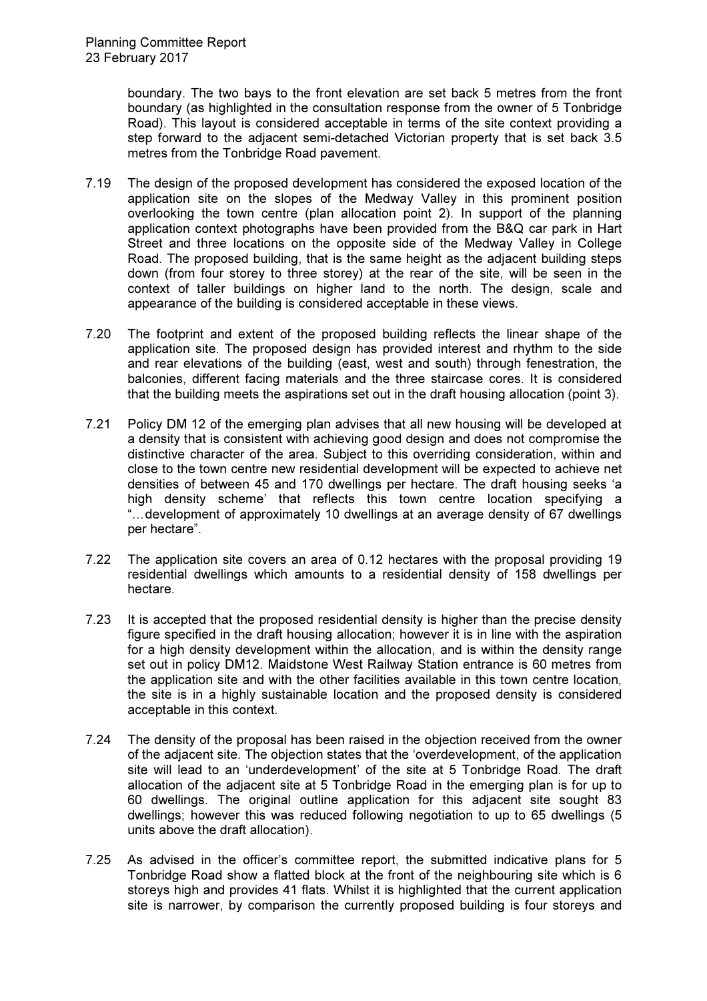boundary. The two bays to the front elevation are set back 5 metres from the front boundary (as highlighted in the consultation response from the owner of 5 Tonbridge Road). This layout is considered acceptable in terms of the site context providing a step forward to the adjacent semi-detached Victorian property that is set back 3.5 metres from the Tonbridge Road pavement.

- 7.19 The design of the proposed development has considered the exposed location of the application site on the slopes of the Medway Valley in this prominent position overlooking the town centre (plan allocation point 2). In support of the planning application context photographs have been provided from the B&Q car park in Hart Street and three locations on the opposite side of the Medway Valley in College Road. The proposed building, that is the same height as the adjacent building steps down (from four storey to three storey) at the rear of the site, will be seen in the context of taller buildings on higher land to the north. The design, scale and appearance of the building is considered acceptable in these views.
- 7.20 The footprint and extent of the proposed building reflects the linear shape of the application site. The proposed design has provided interest and rhythm to the side and rear elevations of the building (east, west and south) through fenestration, the balconies, different facing materials and the three staircase cores. It is considered that the building meets the aspirations set out in the draft housing allocation (point 3).
- 7.21 Policy DM 12 of the emerging plan advises that all new housing will be developed at a density that is consistent with achieving good design and does not compromise the distinctive character of the area. Subject to this overriding consideration, within and close to the town centre new residential development will be expected to achieve net densities of between 45 and 170 dwellings per hectare. The draft housing seeks 'a high density scheme' that reflects this town centre location specifying a "... development of approximately 10 dwellings at an average density of 67 dwellings per hectare".
- 7.22 The application site covers an area of 0.12 hectares with the proposal providing 19 residential dwellings which amounts to a residential density of 158 dwellings per hectare.
- 7.23 It is accepted that the proposed residential density is higher than the precise density figure specified in the draft housing allocation; however it is in line with the aspiration for a high density development within the allocation, and is within the density range set out in policy DM12. Maidstone West Railway Station entrance is 60 metres from the application site and with the other facilities available in this town centre location, the site is in a highly sustainable location and the proposed density is considered acceptable in this context.
- 7.24 The density of the proposal has been raised in the objection received from the owner of the adjacent site. The objection states that the 'overdevelopment, of the application site will lead to an 'underdevelopment' of the site at 5 Tonbridge Road. The draft allocation of the adjacent site at 5 Tonbridge Road in the emerging plan is for up to 60 dwellings. The original outline application for this adjacent site sought 83 dwellings; however this was reduced following negotiation to up to 65 dwellings (5 units above the draft allocation).
- 7.25 As advised in the officer's committee report, the submitted indicative plans for 5 Tonbridge Road show a flatted block at the front of the neighbouring site which is 6 storeys high and provides 41 flats. Whilst it is highlighted that the current application site is narrower, by comparison the currently proposed building is four storeys and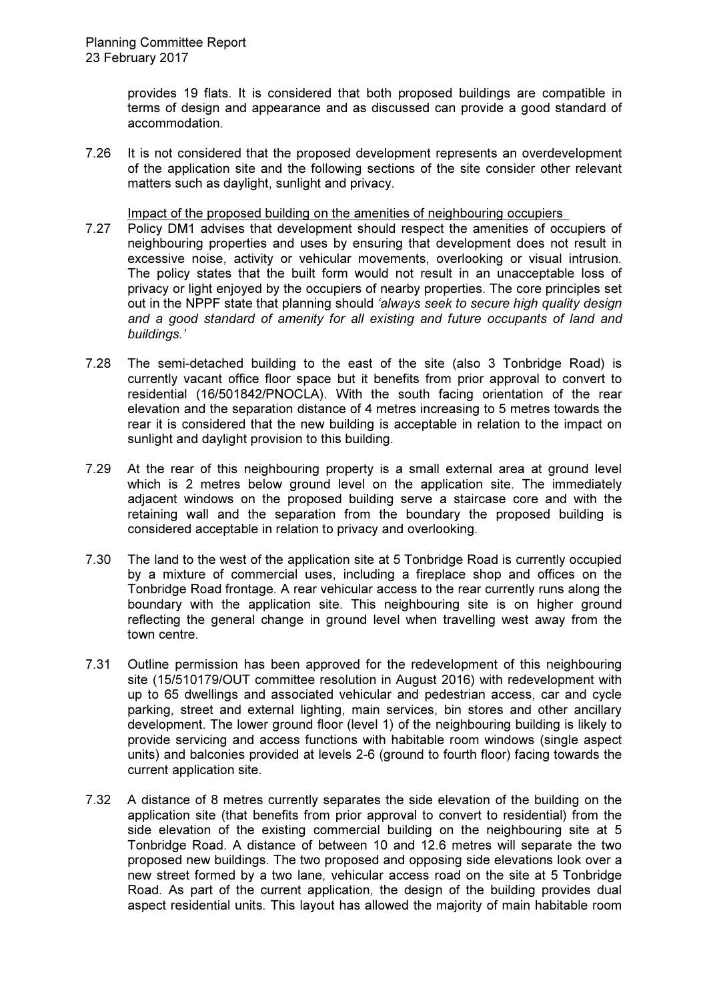provides 19 flats. It is considered that both proposed buildings are compatible in terms of design and appearance and as discussed can provide a good standard of accommodation.

7.26 It is not considered that the proposed development represents an overdevelopment of the application site and the following sections of the site consider other relevant matters such as daylight, sunlight and privacy.

Impact of the proposed building on the amenities of neighbouring occupiers

- 7.27 Policy DM1 advises that development should respect the amenities of occupiers of neighbouring properties and uses by ensuring that development does not result in excessive noise, activity or vehicular movements, overlooking or visual intrusion. The policy states that the built form would not result in an unacceptable loss of privacy or light enjoyed by the occupiers of nearby properties. The core principles set out in the NPPF state that planning should 'always seek to secure high quality design and a good standard of amenity for all existing and future occupants of land and buildings.'
- 7.28 The semi-detached building to the east of the site (also 3 Tonbridge Road) is currently vacant office floor space but it benefits from prior approval to convert to residential (16/501842/PNOCLA). With the south facing orientation of the rear elevation and the separation distance of 4 metres increasing to 5 metres towards the rear it is considered that the new building is acceptable in relation to the impact on sunlight and daylight provision to this building.
- 7.29 At the rear of this neighbouring property is a small external area at ground level which is 2 metres below ground level on the application site. The immediately adjacent windows on the proposed building serve a staircase core and with the retaining wall and the separation from the boundary the proposed building is considered acceptable in relation to privacy and overlooking.
- 7.30 The land to the west of the application site at 5 Tonbridge Road is currently occupied by a mixture of commercial uses, including a fireplace shop and offices on the Tonbridge Road frontage. A rear vehicular access to the rear currently runs along the boundary with the application site. This neighbouring site is on higher ground reflecting the general change in ground level when travelling west away from the town centre.
- 7.31 Outline permission has been approved for the redevelopment of this neighbouring site (15/510179/OUT committee resolution in August 2016) with redevelopment with up to 65 dwellings and associated vehicular and pedestrian access, car and cycle parking, street and external lighting, main services, bin stores and other ancillary development. The lower ground floor (level 1) of the neighbouring building is likely to provide servicing and access functions with habitable room windows (single aspect units) and balconies provided at levels 2-6 (ground to fourth floor) facing towards the current application site.
- 7.32 A distance of 8 metres currently separates the side elevation of the building on the application site (that benefits from prior approval to convert to residential) from the side elevation of the existing commercial building on the neighbouring site at 5 Tonbridge Road. A distance of between 10 and 12.6 metres will separate the two proposed new buildings. The two proposed and opposing side elevations look over a new street formed by a two lane, vehicular access road on the site at 5 Tonbridge Road. As part of the current application, the design of the building provides dual aspect residential units. This layout has allowed the majority of main habitable room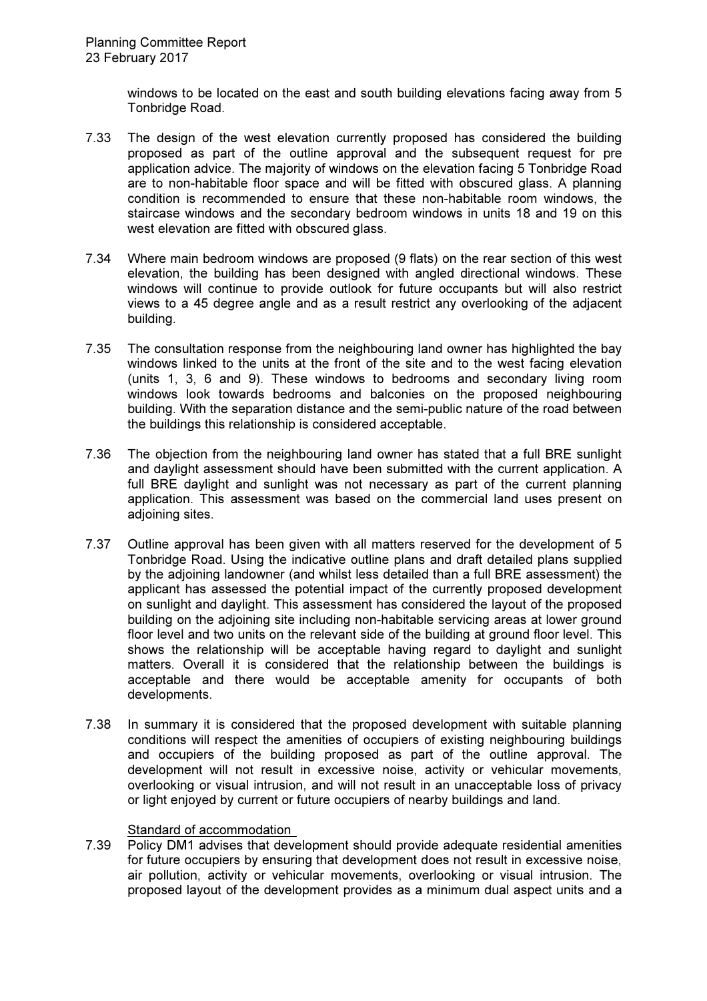windows to be located on the east and south building elevations facing away from 5 Tonbridge Road.

- 7.33 The design of the west elevation currently proposed has considered the building proposed as part of the outline approval and the subsequent request for pre application advice. The majority of windows on the elevation facing 5 Tonbridge Road are to non-habitable floor space and will be fitted with obscured glass. A planning condition is recommended to ensure that these non-habitable room windows, the staircase windows and the secondary bedroom windows in units 18 and 19 on this west elevation are fitted with obscured glass.
- 7.34 Where main bedroom windows are proposed (9 flats) on the rear section of this west elevation, the building has been designed with angled directional windows. These windows will continue to provide outlook for future occupants but will also restrict views to a 45 degree angle and as a result restrict any overlooking of the adjacent building.
- 7.35 The consultation response from the neighbouring land owner has highlighted the bay windows linked to the units at the front of the site and to the west facing elevation (units 1, 3, 6 and 9). These windows to bedrooms and secondary living room windows look towards bedrooms and balconies on the proposed neighbouring building. With the separation distance and the semi-public nature of the road between the buildings this relationship is considered acceptable.
- 7.36 The objection from the neighbouring land owner has stated that a full BRE sunlight and daylight assessment should have been submitted with the current application. A full BRE daylight and sunlight was not necessary as part of the current planning application. This assessment was based on the commercial land uses present on adjoining sites.
- 7.37 Outline approval has been given with all matters reserved for the development of 5 Tonbridge Road. Using the indicative outline plans and draft detailed plans supplied by the adjoining landowner (and whilst less detailed than a full BRE assessment) the applicant has assessed the potential impact of the currently proposed development on sunlight and daylight. This assessment has considered the layout of the proposed building on the adjoining site including non-habitable servicing areas at lower ground floor level and two units on the relevant side of the building at ground floor level. This shows the relationship will be acceptable having regard to daylight and sunlight matters. Overall it is considered that the relationship between the buildings is acceptable and there would be acceptable amenity for occupants of both developments.
- 7.38 In summary it is considered that the proposed development with suitable planning conditions will respect the amenities of occupiers of existing neighbouring buildings and occupiers of the building proposed as part of the outline approval. The development will not result in excessive noise, activity or vehicular movements, overlooking or visual intrusion, and will not result in an unacceptable loss of privacy or light enjoyed by current or future occupiers of nearby buildings and land.

# Standard of accommodation

7.39 Policy DM1 advises that development should provide adequate residential amenities for future occupiers by ensuring that development does not result in excessive noise, air pollution, activity or vehicular movements, overlooking or visual intrusion. The proposed layout of the development provides as a minimum dual aspect units and a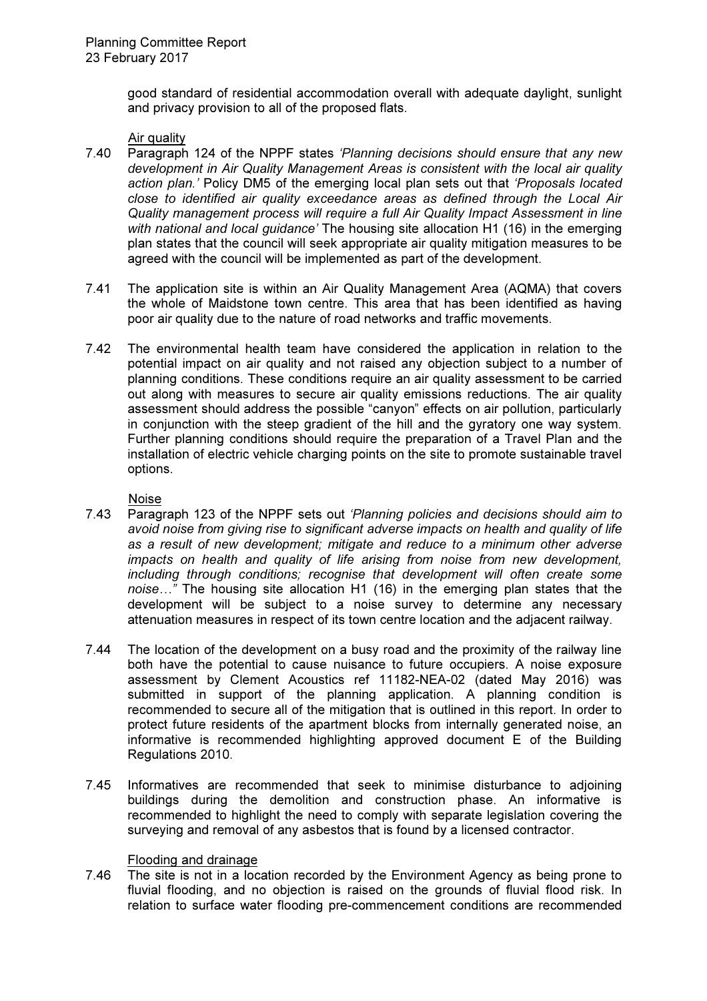good standard of residential accommodation overall with adequate daylight, sunlight and privacy provision to all of the proposed flats.

### Air quality

- 7.40 Paragraph 124 of the NPPF states 'Planning decisions should ensure that any new development in Air Quality Management Areas is consistent with the local air quality action plan.' Policy DM5 of the emerging local plan sets out that 'Proposals located close to identified air quality exceedance areas as defined through the Local Air Quality management process will require a full Air Quality Impact Assessment in line with national and local guidance' The housing site allocation H1 (16) in the emerging plan states that the council will seek appropriate air quality mitigation measures to be agreed with the council will be implemented as part of the development.
- 7.41 The application site is within an Air Quality Management Area (AQMA) that covers the whole of Maidstone town centre. This area that has been identified as having poor air quality due to the nature of road networks and traffic movements.
- 7.42 The environmental health team have considered the application in relation to the potential impact on air quality and not raised any objection subject to a number of planning conditions. These conditions require an air quality assessment to be carried out along with measures to secure air quality emissions reductions. The air quality assessment should address the possible "canyon" effects on air pollution, particularly in conjunction with the steep gradient of the hill and the gyratory one way system. Further planning conditions should require the preparation of a Travel Plan and the installation of electric vehicle charging points on the site to promote sustainable travel options.

## Noise

- 7.43 Paragraph 123 of the NPPF sets out 'Planning policies and decisions should aim to avoid noise from giving rise to significant adverse impacts on health and quality of life as a result of new development; mitigate and reduce to a minimum other adverse impacts on health and quality of life arising from noise from new development, including through conditions; recognise that development will often create some  $noise...$ " The housing site allocation H1 (16) in the emerging plan states that the development will be subject to a noise survey to determine any necessary attenuation measures in respect of its town centre location and the adjacent railway.
- 7.44 The location of the development on a busy road and the proximity of the railway line both have the potential to cause nuisance to future occupiers. A noise exposure assessment by Clement Acoustics ref 11182-NEA-02 (dated May 2016) was submitted in support of the planning application. A planning condition is recommended to secure all of the mitigation that is outlined in this report. In order to protect future residents of the apartment blocks from internally generated noise, an informative is recommended highlighting approved document E of the Building Regulations 2010.
- 7.45 Informatives are recommended that seek to minimise disturbance to adjoining buildings during the demolition and construction phase. An informative is recommended to highlight the need to comply with separate legislation covering the surveying and removal of any asbestos that is found by a licensed contractor.

#### Flooding and drainage

7.46 The site is not in a location recorded by the Environment Agency as being prone to fluvial flooding, and no objection is raised on the grounds of fluvial flood risk. In relation to surface water flooding pre-commencement conditions are recommended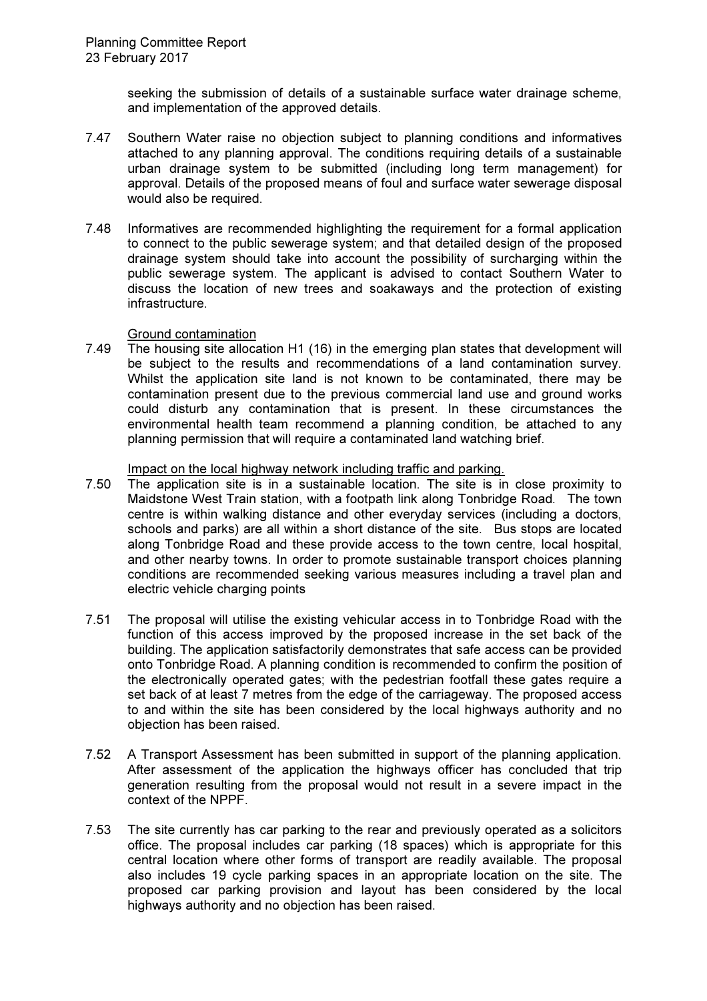seeking the submission of details of a sustainable surface water drainage scheme, and implementation of the approved details.

- 7.47 Southern Water raise no objection subject to planning conditions and informatives attached to any planning approval. The conditions requiring details of a sustainable urban drainage system to be submitted (including long term management) for approval. Details of the proposed means of foul and surface water sewerage disposal would also be required.
- 7.48 Informatives are recommended highlighting the requirement for a formal application to connect to the public sewerage system; and that detailed design of the proposed drainage system should take into account the possibility of surcharging within the public sewerage system. The applicant is advised to contact Southern Water to discuss the location of new trees and soakaways and the protection of existing infrastructure.

# Ground contamination

7.49 The housing site allocation H1 (16) in the emerging plan states that development will be subject to the results and recommendations of a land contamination survey. Whilst the application site land is not known to be contaminated, there may be contamination present due to the previous commercial land use and ground works could disturb any contamination that is present. In these circumstances the environmental health team recommend a planning condition, be attached to any planning permission that will require a contaminated land watching brief.

Impact on the local highway network including traffic and parking.

- 7.50 The application site is in a sustainable location. The site is in close proximity to Maidstone West Train station, with a footpath link along Tonbridge Road. The town centre is within walking distance and other everyday services (including a doctors, schools and parks) are all within a short distance of the site. Bus stops are located along Tonbridge Road and these provide access to the town centre, local hospital, and other nearby towns. In order to promote sustainable transport choices planning conditions are recommended seeking various measures including a travel plan and electric vehicle charging points
- 7.51 The proposal will utilise the existing vehicular access in to Tonbridge Road with the function of this access improved by the proposed increase in the set back of the building. The application satisfactorily demonstrates that safe access can be provided onto Tonbridge Road. A planning condition is recommended to confirm the position of the electronically operated gates; with the pedestrian footfall these gates require a set back of at least 7 metres from the edge of the carriageway. The proposed access to and within the site has been considered by the local highways authority and no objection has been raised.
- 7.52 A Transport Assessment has been submitted in support of the planning application. After assessment of the application the highways officer has concluded that trip generation resulting from the proposal would not result in a severe impact in the context of the NPPF.
- 7.53 The site currently has car parking to the rear and previously operated as a solicitors office. The proposal includes car parking (18 spaces) which is appropriate for this central location where other forms of transport are readily available. The proposal also includes 19 cycle parking spaces in an appropriate location on the site. The proposed car parking provision and layout has been considered by the local highways authority and no objection has been raised.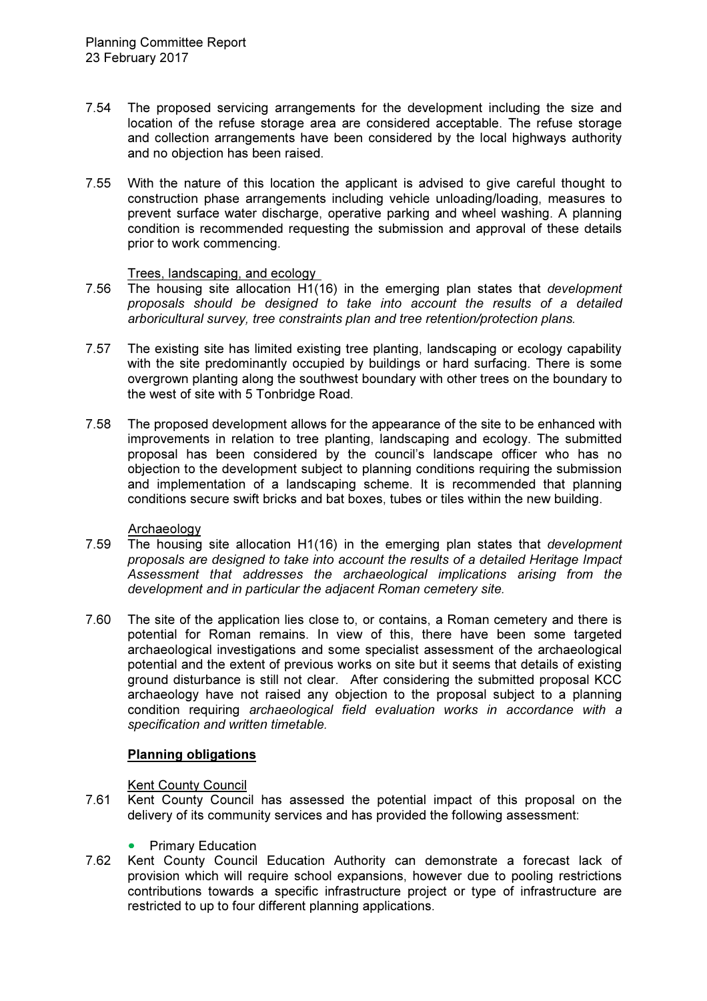- 7.54 The proposed servicing arrangements for the development including the size and location of the refuse storage area are considered acceptable. The refuse storage and collection arrangements have been considered by the local highways authority and no objection has been raised.
- 7.55 With the nature of this location the applicant is advised to give careful thought to construction phase arrangements including vehicle unloading/loading, measures to prevent surface water discharge, operative parking and wheel washing. A planning condition is recommended requesting the submission and approval of these details prior to work commencing.

# Trees, landscaping, and ecology

- 7.56 The housing site allocation H1(16) in the emerging plan states that development proposals should be designed to take into account the results of a detailed arboricultural survey, tree constraints plan and tree retention/protection plans.
- 7.57 The existing site has limited existing tree planting, landscaping or ecology capability with the site predominantly occupied by buildings or hard surfacing. There is some overgrown planting along the southwest boundary with other trees on the boundary to the west of site with 5 Tonbridge Road.
- 7.58 The proposed development allows for the appearance of the site to be enhanced with improvements in relation to tree planting, landscaping and ecology. The submitted proposal has been considered by the council's landscape officer who has no objection to the development subject to planning conditions requiring the submission and implementation of a landscaping scheme. It is recommended that planning conditions secure swift bricks and bat boxes, tubes or tiles within the new building.

#### Archaeology

- 7.59 The housing site allocation H1(16) in the emerging plan states that development proposals are designed to take into account the results of a detailed Heritage Impact Assessment that addresses the archaeological implications arising from the development and in particular the adjacent Roman cemetery site.
- 7.60 The site of the application lies close to, or contains, a Roman cemetery and there is potential for Roman remains. In view of this, there have been some targeted archaeological investigations and some specialist assessment of the archaeological potential and the extent of previous works on site but it seems that details of existing ground disturbance is still not clear. After considering the submitted proposal KCC archaeology have not raised any objection to the proposal subject to a planning condition requiring archaeological field evaluation works in accordance with a specification and written timetable.

# Planning obligations

# Kent County Council

- 7.61 Kent County Council has assessed the potential impact of this proposal on the delivery of its community services and has provided the following assessment:
	- **Primary Education**
- 7.62 Kent County Council Education Authority can demonstrate a forecast lack of provision which will require school expansions, however due to pooling restrictions contributions towards a specific infrastructure project or type of infrastructure are restricted to up to four different planning applications.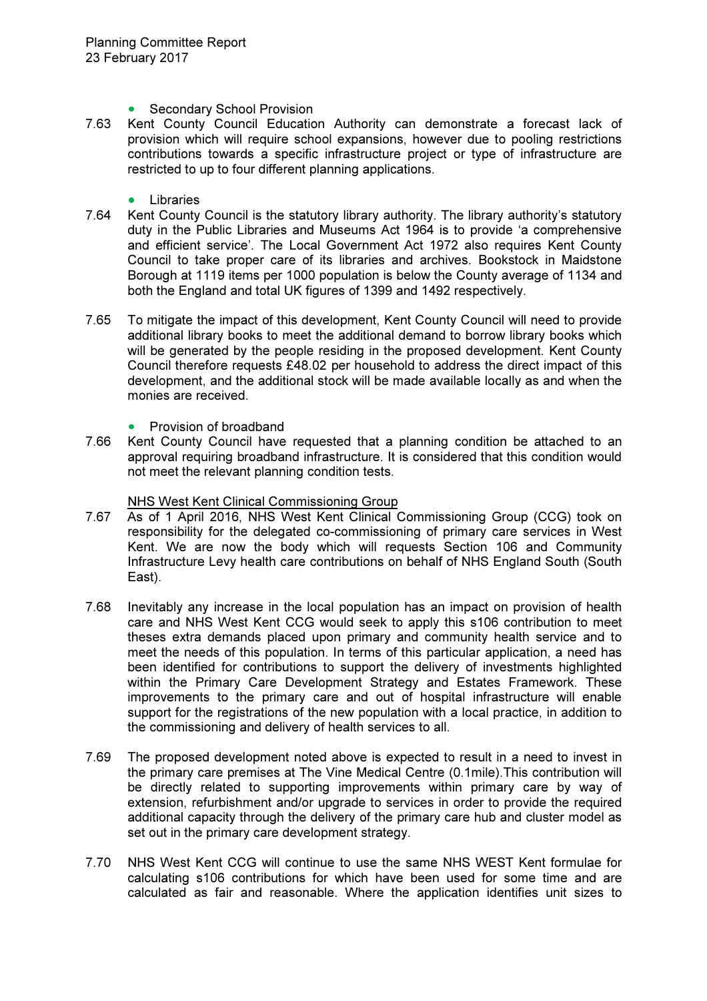- Secondary School Provision
- 7.63 Kent County Council Education Authority can demonstrate a forecast lack of provision which will require school expansions, however due to pooling restrictions contributions towards a specific infrastructure project or type of infrastructure are restricted to up to four different planning applications.
	- Libraries
- 7.64 Kent County Council is the statutory library authority. The library authority's statutory duty in the Public Libraries and Museums Act 1964 is to provide 'a comprehensive and efficient service'. The Local Government Act 1972 also requires Kent County Council to take proper care of its libraries and archives. Bookstock in Maidstone Borough at 1119 items per 1000 population is below the County average of 1134 and both the England and total UK figures of 1399 and 1492 respectively.
- 7.65 To mitigate the impact of this development, Kent County Council will need to provide additional library books to meet the additional demand to borrow library books which will be generated by the people residing in the proposed development. Kent County Council therefore requests £48.02 per household to address the direct impact of this development, and the additional stock will be made available locally as and when the monies are received.
	- Provision of broadband
- 7.66 Kent County Council have requested that a planning condition be attached to an approval requiring broadband infrastructure. It is considered that this condition would not meet the relevant planning condition tests.

## NHS West Kent Clinical Commissioning Group

- 7.67 As of 1 April 2016, NHS West Kent Clinical Commissioning Group (CCG) took on responsibility for the delegated co-commissioning of primary care services in West Kent. We are now the body which will requests Section 106 and Community Infrastructure Levy health care contributions on behalf of NHS England South (South East).
- 7.68 Inevitably any increase in the local population has an impact on provision of health care and NHS West Kent CCG would seek to apply this s106 contribution to meet theses extra demands placed upon primary and community health service and to meet the needs of this population. In terms of this particular application, a need has been identified for contributions to support the delivery of investments highlighted within the Primary Care Development Strategy and Estates Framework. These improvements to the primary care and out of hospital infrastructure will enable support for the registrations of the new population with a local practice, in addition to the commissioning and delivery of health services to all.
- 7.69 The proposed development noted above is expected to result in a need to invest in the primary care premises at The Vine Medical Centre (0.1mile).This contribution will be directly related to supporting improvements within primary care by way of extension, refurbishment and/or upgrade to services in order to provide the required additional capacity through the delivery of the primary care hub and cluster model as set out in the primary care development strategy.
- 7.70 NHS West Kent CCG will continue to use the same NHS WEST Kent formulae for calculating s106 contributions for which have been used for some time and are calculated as fair and reasonable. Where the application identifies unit sizes to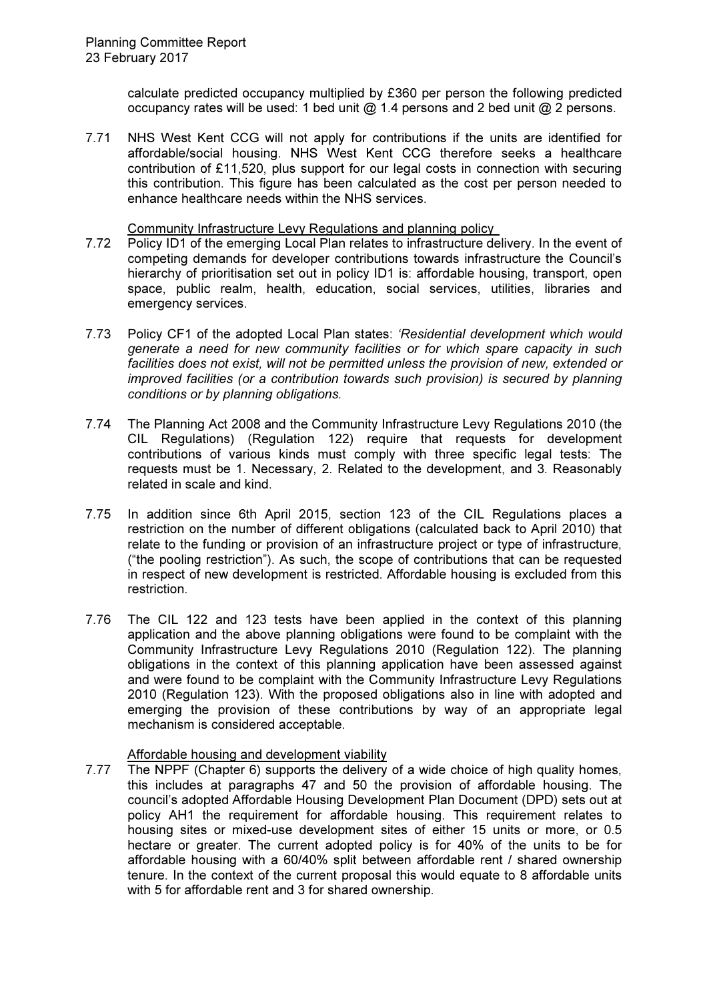calculate predicted occupancy multiplied by £360 per person the following predicted occupancy rates will be used: 1 bed unit @ 1.4 persons and 2 bed unit @ 2 persons.

7.71 NHS West Kent CCG will not apply for contributions if the units are identified for affordable/social housing. NHS West Kent CCG therefore seeks a healthcare contribution of £11,520, plus support for our legal costs in connection with securing this contribution. This figure has been calculated as the cost per person needed to enhance healthcare needs within the NHS services.

Community Infrastructure Levy Regulations and planning policy

- 7.72 Policy ID1 of the emerging Local Plan relates to infrastructure delivery. In the event of competing demands for developer contributions towards infrastructure the Council's hierarchy of prioritisation set out in policy ID1 is: affordable housing, transport, open space, public realm, health, education, social services, utilities, libraries and emergency services.
- 7.73 Policy CF1 of the adopted Local Plan states: 'Residential development which would generate a need for new community facilities or for which spare capacity in such facilities does not exist, will not be permitted unless the provision of new, extended or improved facilities (or a contribution towards such provision) is secured by planning conditions or by planning obligations.
- 7.74 The Planning Act 2008 and the Community Infrastructure Levy Regulations 2010 (the CIL Regulations) (Regulation 122) require that requests for development contributions of various kinds must comply with three specific legal tests: The requests must be 1. Necessary, 2. Related to the development, and 3. Reasonably related in scale and kind.
- 7.75 In addition since 6th April 2015, section 123 of the CIL Regulations places a restriction on the number of different obligations (calculated back to April 2010) that relate to the funding or provision of an infrastructure project or type of infrastructure, ("the pooling restriction"). As such, the scope of contributions that can be requested in respect of new development is restricted. Affordable housing is excluded from this restriction.
- 7.76 The CIL 122 and 123 tests have been applied in the context of this planning application and the above planning obligations were found to be complaint with the Community Infrastructure Levy Regulations 2010 (Regulation 122). The planning obligations in the context of this planning application have been assessed against and were found to be complaint with the Community Infrastructure Levy Regulations 2010 (Regulation 123). With the proposed obligations also in line with adopted and emerging the provision of these contributions by way of an appropriate legal mechanism is considered acceptable.

# Affordable housing and development viability

7.77 The NPPF (Chapter 6) supports the delivery of a wide choice of high quality homes, this includes at paragraphs 47 and 50 the provision of affordable housing. The council's adopted Affordable Housing Development Plan Document (DPD) sets out at policy AH1 the requirement for affordable housing. This requirement relates to housing sites or mixed-use development sites of either 15 units or more, or 0.5 hectare or greater. The current adopted policy is for 40% of the units to be for affordable housing with a 60/40% split between affordable rent / shared ownership tenure. In the context of the current proposal this would equate to 8 affordable units with 5 for affordable rent and 3 for shared ownership.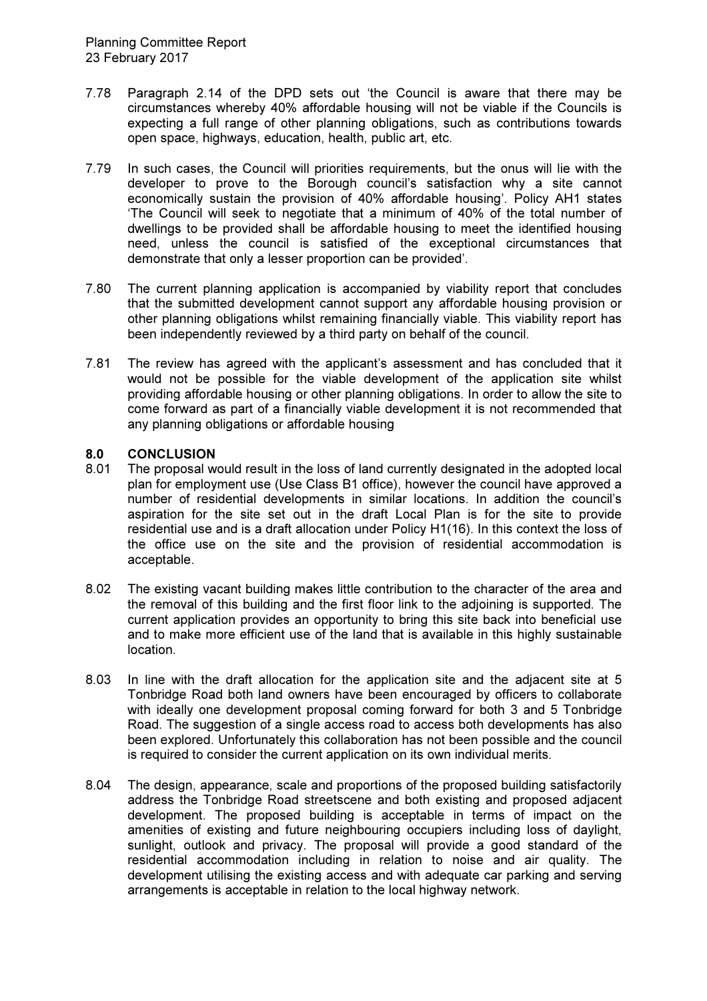- 7.78 Paragraph 2.14 of the DPD sets out 'the Council is aware that there may be circumstances whereby 40% affordable housing will not be viable if the Councils is expecting a full range of other planning obligations, such as contributions towards open space, highways, education, health, public art, etc.
- 7.79 In such cases, the Council will priorities requirements, but the onus will lie with the developer to prove to the Borough council's satisfaction why a site cannot economically sustain the provision of 40% affordable housing'. Policy AH1 states 'The Council will seek to negotiate that a minimum of 40% of the total number of dwellings to be provided shall be affordable housing to meet the identified housing need, unless the council is satisfied of the exceptional circumstances that demonstrate that only a lesser proportion can be provided'.
- 7.80 The current planning application is accompanied by viability report that concludes that the submitted development cannot support any affordable housing provision or other planning obligations whilst remaining financially viable. This viability report has been independently reviewed by a third party on behalf of the council.
- 7.81 The review has agreed with the applicant's assessment and has concluded that it would not be possible for the viable development of the application site whilst providing affordable housing or other planning obligations. In order to allow the site to come forward as part of a financially viable development it is not recommended that any planning obligations or affordable housing

# 8.0 CONCLUSION

- 8.01 The proposal would result in the loss of land currently designated in the adopted local plan for employment use (Use Class B1 office), however the council have approved a number of residential developments in similar locations. In addition the council's aspiration for the site set out in the draft Local Plan is for the site to provide residential use and is a draft allocation under Policy H1(16). In this context the loss of the office use on the site and the provision of residential accommodation is acceptable.
- 8.02 The existing vacant building makes little contribution to the character of the area and the removal of this building and the first floor link to the adjoining is supported. The current application provides an opportunity to bring this site back into beneficial use and to make more efficient use of the land that is available in this highly sustainable location.
- 8.03 In line with the draft allocation for the application site and the adjacent site at 5 Tonbridge Road both land owners have been encouraged by officers to collaborate with ideally one development proposal coming forward for both 3 and 5 Tonbridge Road. The suggestion of a single access road to access both developments has also been explored. Unfortunately this collaboration has not been possible and the council is required to consider the current application on its own individual merits.
- 8.04 The design, appearance, scale and proportions of the proposed building satisfactorily address the Tonbridge Road streetscene and both existing and proposed adjacent development. The proposed building is acceptable in terms of impact on the amenities of existing and future neighbouring occupiers including loss of daylight, sunlight, outlook and privacy. The proposal will provide a good standard of the residential accommodation including in relation to noise and air quality. The development utilising the existing access and with adequate car parking and serving arrangements is acceptable in relation to the local highway network.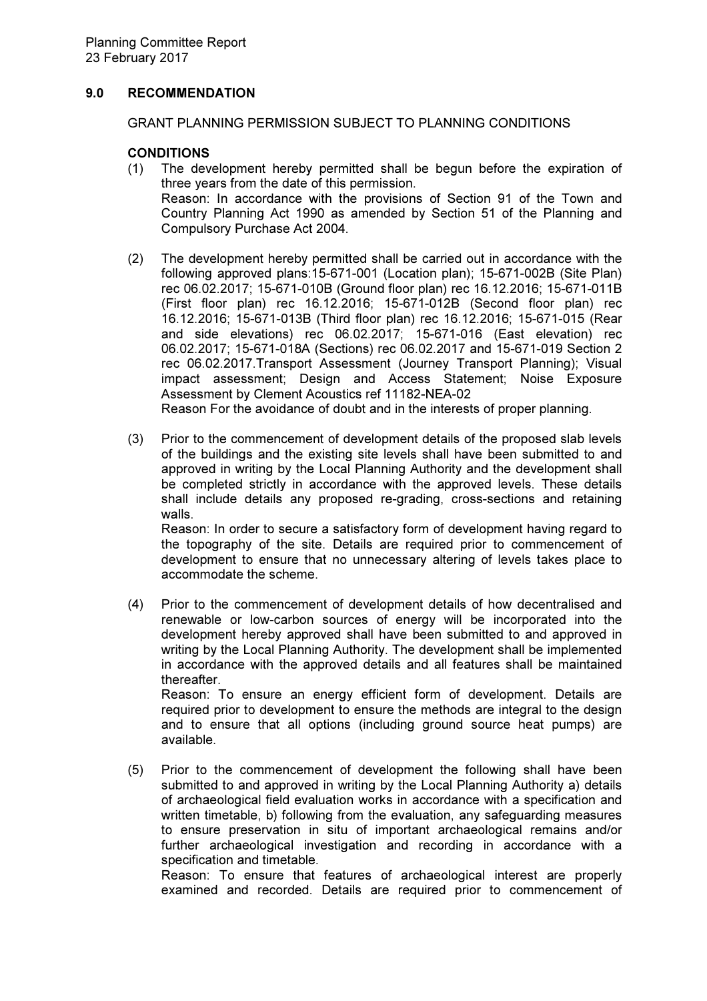# 9.0 RECOMMENDATION

GRANT PLANNING PERMISSION SUBJECT TO PLANNING CONDITIONS

## **CONDITIONS**

available.

- (1) The development hereby permitted shall be begun before the expiration of three years from the date of this permission. Reason: In accordance with the provisions of Section 91 of the Town and Country Planning Act 1990 as amended by Section 51 of the Planning and Compulsory Purchase Act 2004.
- (2) The development hereby permitted shall be carried out in accordance with the following approved plans:15-671-001 (Location plan); 15-671-002B (Site Plan) rec 06.02.2017; 15-671-010B (Ground floor plan) rec 16.12.2016; 15-671-011B (First floor plan) rec 16.12.2016; 15-671-012B (Second floor plan) rec 16.12.2016; 15-671-013B (Third floor plan) rec 16.12.2016; 15-671-015 (Rear and side elevations) rec 06.02.2017; 15-671-016 (East elevation) rec 06.02.2017; 15-671-018A (Sections) rec 06.02.2017 and 15-671-019 Section 2 rec 06.02.2017.Transport Assessment (Journey Transport Planning); Visual impact assessment; Design and Access Statement; Noise Exposure Assessment by Clement Acoustics ref 11182-NEA-02

Reason For the avoidance of doubt and in the interests of proper planning.

(3) Prior to the commencement of development details of the proposed slab levels of the buildings and the existing site levels shall have been submitted to and approved in writing by the Local Planning Authority and the development shall be completed strictly in accordance with the approved levels. These details shall include details any proposed re-grading, cross-sections and retaining walls.

Reason: In order to secure a satisfactory form of development having regard to the topography of the site. Details are required prior to commencement of development to ensure that no unnecessary altering of levels takes place to accommodate the scheme.

- (4) Prior to the commencement of development details of how decentralised and renewable or low-carbon sources of energy will be incorporated into the development hereby approved shall have been submitted to and approved in writing by the Local Planning Authority. The development shall be implemented in accordance with the approved details and all features shall be maintained thereafter. Reason: To ensure an energy efficient form of development. Details are required prior to development to ensure the methods are integral to the design and to ensure that all options (including ground source heat pumps) are
- (5) Prior to the commencement of development the following shall have been submitted to and approved in writing by the Local Planning Authority a) details of archaeological field evaluation works in accordance with a specification and written timetable, b) following from the evaluation, any safeguarding measures to ensure preservation in situ of important archaeological remains and/or further archaeological investigation and recording in accordance with a specification and timetable.

Reason: To ensure that features of archaeological interest are properly examined and recorded. Details are required prior to commencement of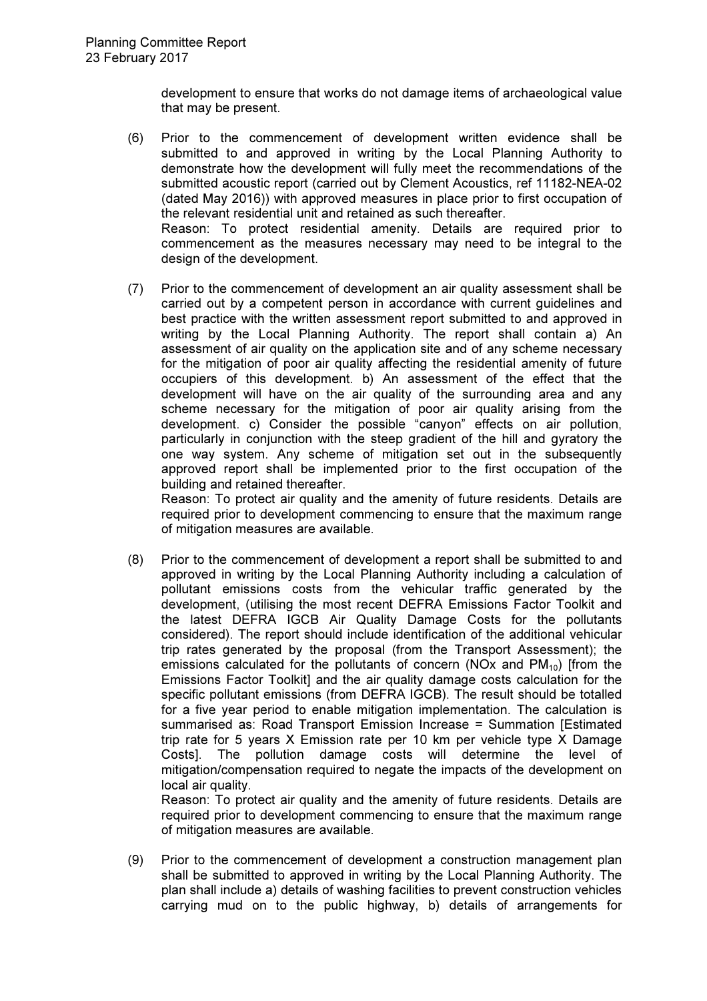design of the development.

development to ensure that works do not damage items of archaeological value that may be present.

- (6) Prior to the commencement of development written evidence shall be submitted to and approved in writing by the Local Planning Authority to demonstrate how the development will fully meet the recommendations of the submitted acoustic report (carried out by Clement Acoustics, ref 11182-NEA-02 (dated May 2016)) with approved measures in place prior to first occupation of the relevant residential unit and retained as such thereafter. Reason: To protect residential amenity. Details are required prior to commencement as the measures necessary may need to be integral to the
- (7) Prior to the commencement of development an air quality assessment shall be carried out by a competent person in accordance with current guidelines and best practice with the written assessment report submitted to and approved in writing by the Local Planning Authority. The report shall contain a) An assessment of air quality on the application site and of any scheme necessary for the mitigation of poor air quality affecting the residential amenity of future occupiers of this development. b) An assessment of the effect that the development will have on the air quality of the surrounding area and any scheme necessary for the mitigation of poor air quality arising from the development. c) Consider the possible "canyon" effects on air pollution, particularly in conjunction with the steep gradient of the hill and gyratory the one way system. Any scheme of mitigation set out in the subsequently approved report shall be implemented prior to the first occupation of the building and retained thereafter.

Reason: To protect air quality and the amenity of future residents. Details are required prior to development commencing to ensure that the maximum range of mitigation measures are available.

(8) Prior to the commencement of development a report shall be submitted to and approved in writing by the Local Planning Authority including a calculation of pollutant emissions costs from the vehicular traffic generated by the development, (utilising the most recent DEFRA Emissions Factor Toolkit and the latest DEFRA IGCB Air Quality Damage Costs for the pollutants considered). The report should include identification of the additional vehicular trip rates generated by the proposal (from the Transport Assessment); the emissions calculated for the pollutants of concern (NOx and  $PM_{10}$ ) [from the Emissions Factor Toolkit] and the air quality damage costs calculation for the specific pollutant emissions (from DEFRA IGCB). The result should be totalled for a five year period to enable mitigation implementation. The calculation is summarised as: Road Transport Emission Increase = Summation [Estimated trip rate for 5 years X Emission rate per 10 km per vehicle type X Damage Costs]. The pollution damage costs will determine the level of mitigation/compensation required to negate the impacts of the development on local air quality.

Reason: To protect air quality and the amenity of future residents. Details are required prior to development commencing to ensure that the maximum range of mitigation measures are available.

(9) Prior to the commencement of development a construction management plan shall be submitted to approved in writing by the Local Planning Authority. The plan shall include a) details of washing facilities to prevent construction vehicles carrying mud on to the public highway, b) details of arrangements for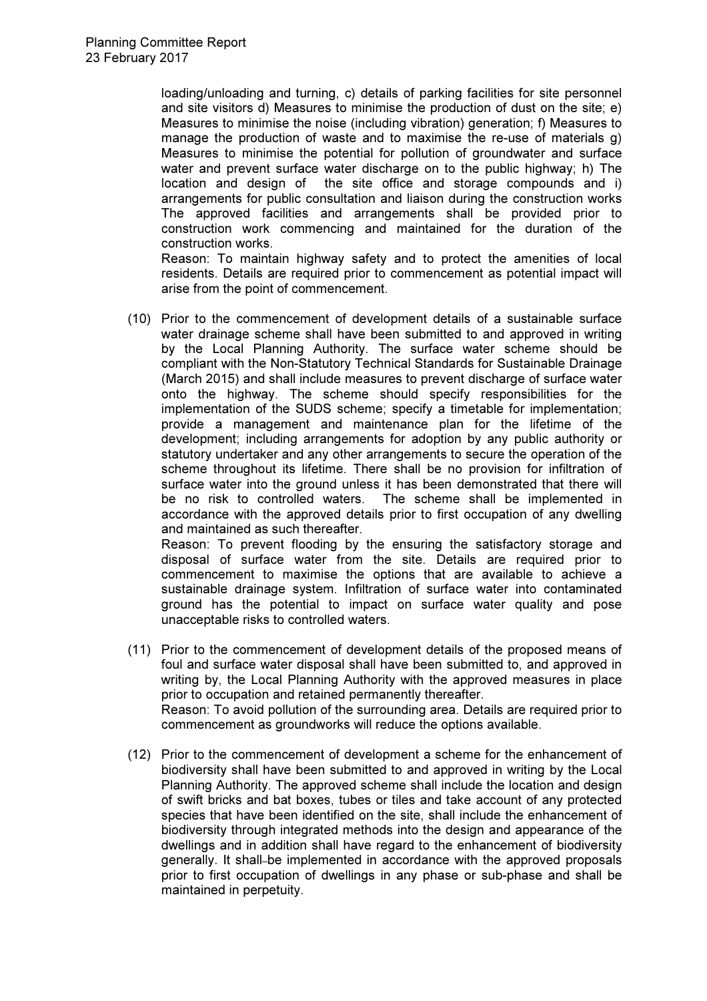loading/unloading and turning, c) details of parking facilities for site personnel and site visitors d) Measures to minimise the production of dust on the site; e) Measures to minimise the noise (including vibration) generation; f) Measures to manage the production of waste and to maximise the re-use of materials g) Measures to minimise the potential for pollution of groundwater and surface water and prevent surface water discharge on to the public highway; h) The location and design of the site office and storage compounds and i) arrangements for public consultation and liaison during the construction works The approved facilities and arrangements shall be provided prior to construction work commencing and maintained for the duration of the construction works.

Reason: To maintain highway safety and to protect the amenities of local residents. Details are required prior to commencement as potential impact will arise from the point of commencement.

(10) Prior to the commencement of development details of a sustainable surface water drainage scheme shall have been submitted to and approved in writing by the Local Planning Authority. The surface water scheme should be compliant with the Non-Statutory Technical Standards for Sustainable Drainage (March 2015) and shall include measures to prevent discharge of surface water onto the highway. The scheme should specify responsibilities for the implementation of the SUDS scheme; specify a timetable for implementation; provide a management and maintenance plan for the lifetime of the development; including arrangements for adoption by any public authority or statutory undertaker and any other arrangements to secure the operation of the scheme throughout its lifetime. There shall be no provision for infiltration of surface water into the ground unless it has been demonstrated that there will be no risk to controlled waters. The scheme shall be implemented in accordance with the approved details prior to first occupation of any dwelling and maintained as such thereafter.

Reason: To prevent flooding by the ensuring the satisfactory storage and disposal of surface water from the site. Details are required prior to commencement to maximise the options that are available to achieve a sustainable drainage system. Infiltration of surface water into contaminated ground has the potential to impact on surface water quality and pose unacceptable risks to controlled waters.

- (11) Prior to the commencement of development details of the proposed means of foul and surface water disposal shall have been submitted to, and approved in writing by, the Local Planning Authority with the approved measures in place prior to occupation and retained permanently thereafter. Reason: To avoid pollution of the surrounding area. Details are required prior to commencement as groundworks will reduce the options available.
- (12) Prior to the commencement of development a scheme for the enhancement of biodiversity shall have been submitted to and approved in writing by the Local Planning Authority. The approved scheme shall include the location and design of swift bricks and bat boxes, tubes or tiles and take account of any protected species that have been identified on the site, shall include the enhancement of biodiversity through integrated methods into the design and appearance of the dwellings and in addition shall have regard to the enhancement of biodiversity generally. It shall-be implemented in accordance with the approved proposals prior to first occupation of dwellings in any phase or sub-phase and shall be maintained in perpetuity.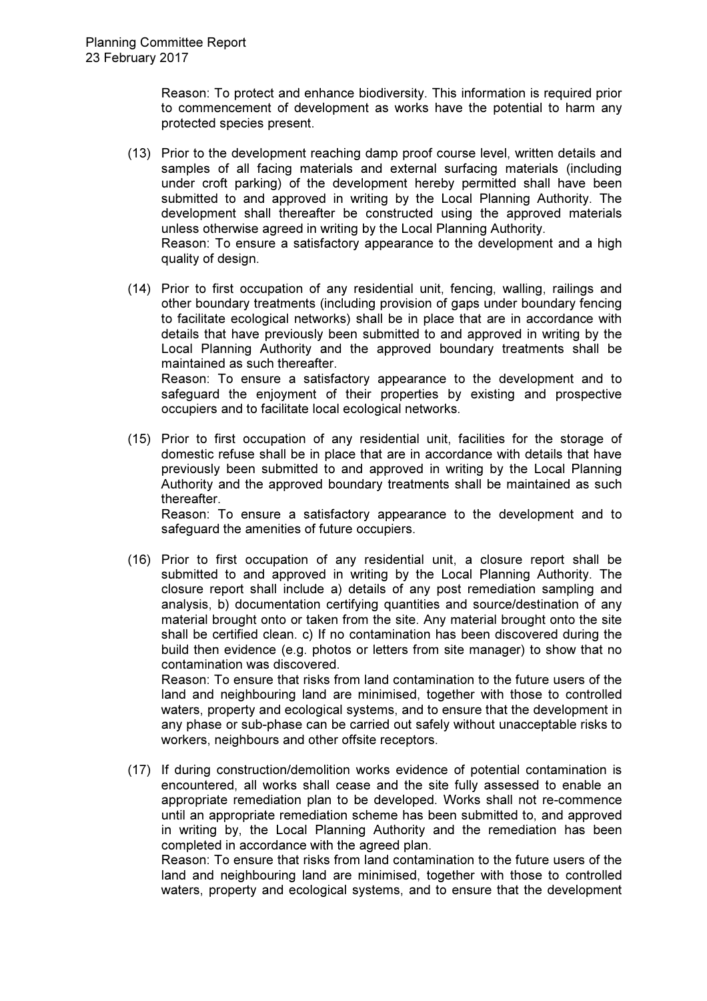Reason: To protect and enhance biodiversity. This information is required prior to commencement of development as works have the potential to harm any protected species present.

- (13) Prior to the development reaching damp proof course level, written details and samples of all facing materials and external surfacing materials (including under croft parking) of the development hereby permitted shall have been submitted to and approved in writing by the Local Planning Authority. The development shall thereafter be constructed using the approved materials unless otherwise agreed in writing by the Local Planning Authority. Reason: To ensure a satisfactory appearance to the development and a high quality of design.
- (14) Prior to first occupation of any residential unit, fencing, walling, railings and other boundary treatments (including provision of gaps under boundary fencing to facilitate ecological networks) shall be in place that are in accordance with details that have previously been submitted to and approved in writing by the Local Planning Authority and the approved boundary treatments shall be maintained as such thereafter. Reason: To ensure a satisfactory appearance to the development and to safeguard the enjoyment of their properties by existing and prospective occupiers and to facilitate local ecological networks.
- (15) Prior to first occupation of any residential unit, facilities for the storage of domestic refuse shall be in place that are in accordance with details that have previously been submitted to and approved in writing by the Local Planning Authority and the approved boundary treatments shall be maintained as such thereafter.

Reason: To ensure a satisfactory appearance to the development and to safeguard the amenities of future occupiers.

(16) Prior to first occupation of any residential unit, a closure report shall be submitted to and approved in writing by the Local Planning Authority. The closure report shall include a) details of any post remediation sampling and analysis, b) documentation certifying quantities and source/destination of any material brought onto or taken from the site. Any material brought onto the site shall be certified clean. c) If no contamination has been discovered during the build then evidence (e.g. photos or letters from site manager) to show that no contamination was discovered.

Reason: To ensure that risks from land contamination to the future users of the land and neighbouring land are minimised, together with those to controlled waters, property and ecological systems, and to ensure that the development in any phase or sub-phase can be carried out safely without unacceptable risks to workers, neighbours and other offsite receptors.

(17) If during construction/demolition works evidence of potential contamination is encountered, all works shall cease and the site fully assessed to enable an appropriate remediation plan to be developed. Works shall not re-commence until an appropriate remediation scheme has been submitted to, and approved in writing by, the Local Planning Authority and the remediation has been completed in accordance with the agreed plan. Reason: To ensure that risks from land contamination to the future users of the

land and neighbouring land are minimised, together with those to controlled waters, property and ecological systems, and to ensure that the development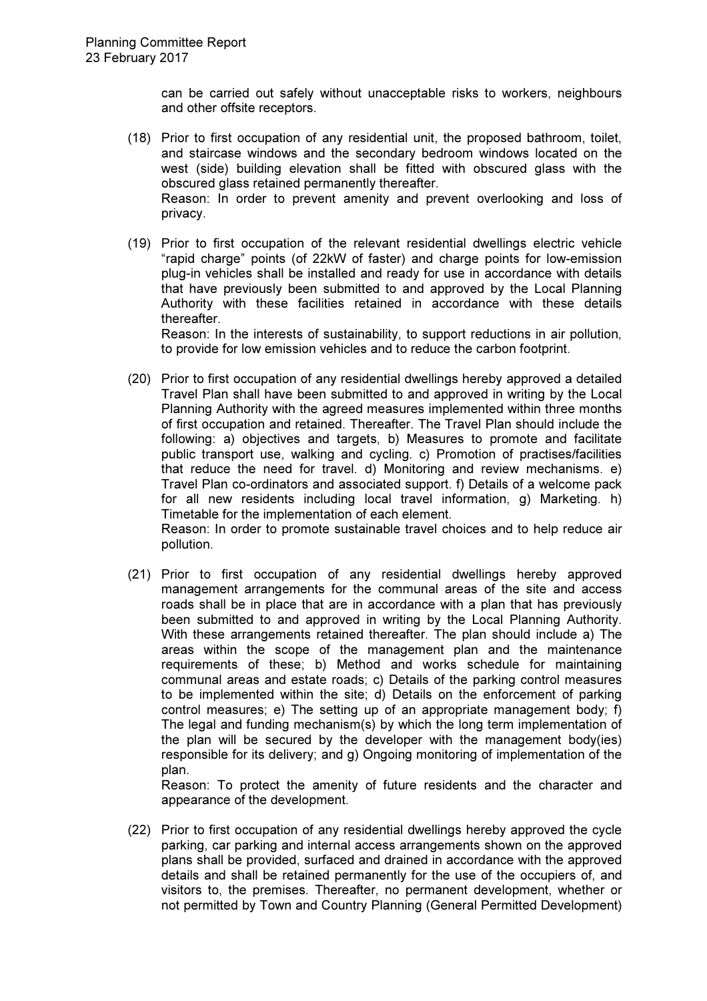can be carried out safely without unacceptable risks to workers, neighbours and other offsite receptors.

- (18) Prior to first occupation of any residential unit, the proposed bathroom, toilet, and staircase windows and the secondary bedroom windows located on the west (side) building elevation shall be fitted with obscured glass with the obscured glass retained permanently thereafter. Reason: In order to prevent amenity and prevent overlooking and loss of privacy.
- (19) Prior to first occupation of the relevant residential dwellings electric vehicle "rapid charge" points (of 22kW of faster) and charge points for low-emission plug-in vehicles shall be installed and ready for use in accordance with details that have previously been submitted to and approved by the Local Planning Authority with these facilities retained in accordance with these details thereafter.

Reason: In the interests of sustainability, to support reductions in air pollution, to provide for low emission vehicles and to reduce the carbon footprint.

(20) Prior to first occupation of any residential dwellings hereby approved a detailed Travel Plan shall have been submitted to and approved in writing by the Local Planning Authority with the agreed measures implemented within three months of first occupation and retained. Thereafter. The Travel Plan should include the following: a) objectives and targets, b) Measures to promote and facilitate public transport use, walking and cycling. c) Promotion of practises/facilities that reduce the need for travel. d) Monitoring and review mechanisms. e) Travel Plan co-ordinators and associated support. f) Details of a welcome pack for all new residents including local travel information, g) Marketing. h) Timetable for the implementation of each element.

Reason: In order to promote sustainable travel choices and to help reduce air pollution.

(21) Prior to first occupation of any residential dwellings hereby approved management arrangements for the communal areas of the site and access roads shall be in place that are in accordance with a plan that has previously been submitted to and approved in writing by the Local Planning Authority. With these arrangements retained thereafter. The plan should include a) The areas within the scope of the management plan and the maintenance requirements of these; b) Method and works schedule for maintaining communal areas and estate roads; c) Details of the parking control measures to be implemented within the site; d) Details on the enforcement of parking control measures; e) The setting up of an appropriate management body; f) The legal and funding mechanism(s) by which the long term implementation of the plan will be secured by the developer with the management body(ies) responsible for its delivery; and g) Ongoing monitoring of implementation of the plan.

Reason: To protect the amenity of future residents and the character and appearance of the development.

(22) Prior to first occupation of any residential dwellings hereby approved the cycle parking, car parking and internal access arrangements shown on the approved plans shall be provided, surfaced and drained in accordance with the approved details and shall be retained permanently for the use of the occupiers of, and visitors to, the premises. Thereafter, no permanent development, whether or not permitted by Town and Country Planning (General Permitted Development)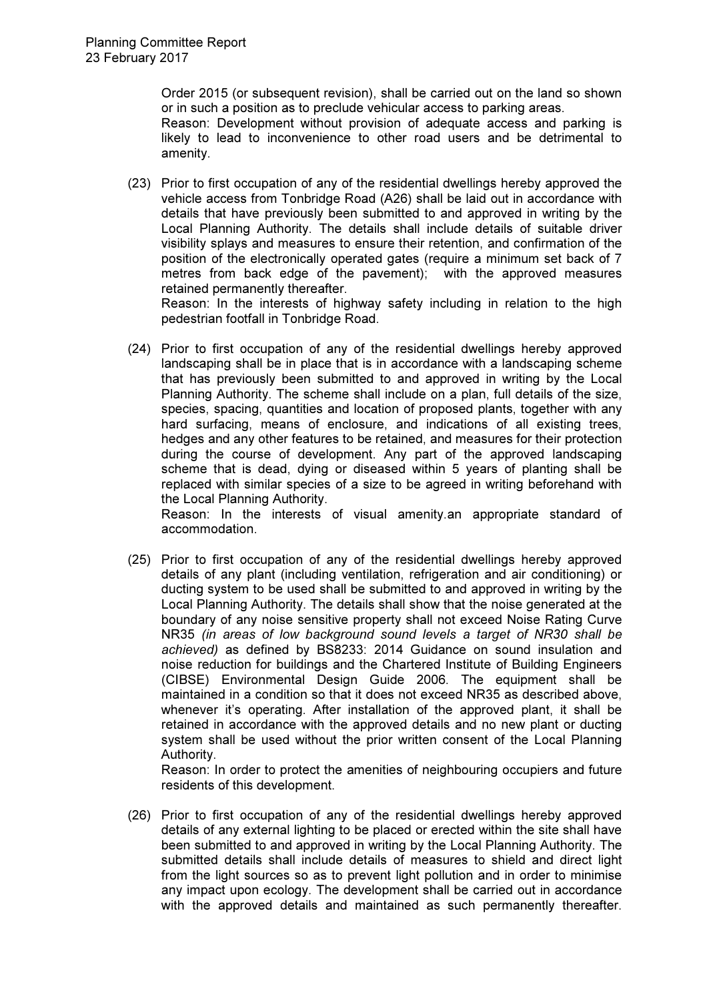Order 2015 (or subsequent revision), shall be carried out on the land so shown or in such a position as to preclude vehicular access to parking areas.

Reason: Development without provision of adequate access and parking is likely to lead to inconvenience to other road users and be detrimental to amenity.

(23) Prior to first occupation of any of the residential dwellings hereby approved the vehicle access from Tonbridge Road (A26) shall be laid out in accordance with details that have previously been submitted to and approved in writing by the Local Planning Authority. The details shall include details of suitable driver visibility splays and measures to ensure their retention, and confirmation of the position of the electronically operated gates (require a minimum set back of 7 metres from back edge of the pavement); with the approved measures retained permanently thereafter. Reason: In the interests of highway safety including in relation to the high

pedestrian footfall in Tonbridge Road.

(24) Prior to first occupation of any of the residential dwellings hereby approved landscaping shall be in place that is in accordance with a landscaping scheme that has previously been submitted to and approved in writing by the Local Planning Authority. The scheme shall include on a plan, full details of the size, species, spacing, quantities and location of proposed plants, together with any hard surfacing, means of enclosure, and indications of all existing trees, hedges and any other features to be retained, and measures for their protection during the course of development. Any part of the approved landscaping scheme that is dead, dying or diseased within 5 years of planting shall be replaced with similar species of a size to be agreed in writing beforehand with the Local Planning Authority.

Reason: In the interests of visual amenity.an appropriate standard of accommodation.

(25) Prior to first occupation of any of the residential dwellings hereby approved details of any plant (including ventilation, refrigeration and air conditioning) or ducting system to be used shall be submitted to and approved in writing by the Local Planning Authority. The details shall show that the noise generated at the boundary of any noise sensitive property shall not exceed Noise Rating Curve NR35 (in areas of low background sound levels a target of NR30 shall be achieved) as defined by BS8233: 2014 Guidance on sound insulation and noise reduction for buildings and the Chartered Institute of Building Engineers (CIBSE) Environmental Design Guide 2006. The equipment shall be maintained in a condition so that it does not exceed NR35 as described above, whenever it's operating. After installation of the approved plant, it shall be retained in accordance with the approved details and no new plant or ducting system shall be used without the prior written consent of the Local Planning Authority.

Reason: In order to protect the amenities of neighbouring occupiers and future residents of this development.

(26) Prior to first occupation of any of the residential dwellings hereby approved details of any external lighting to be placed or erected within the site shall have been submitted to and approved in writing by the Local Planning Authority. The submitted details shall include details of measures to shield and direct light from the light sources so as to prevent light pollution and in order to minimise any impact upon ecology. The development shall be carried out in accordance with the approved details and maintained as such permanently thereafter.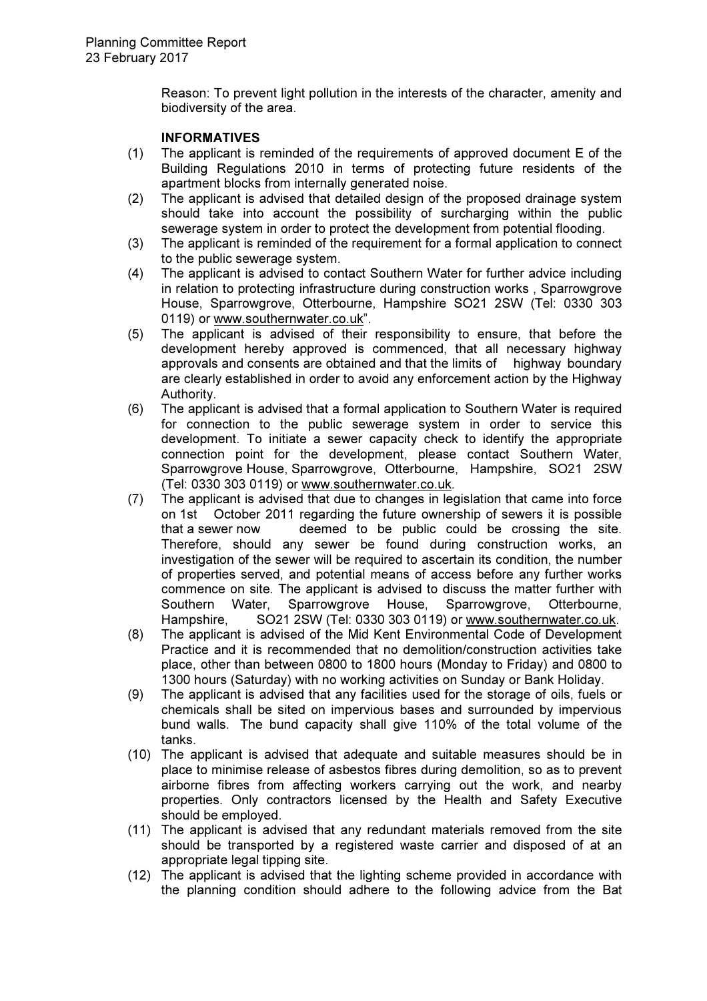Reason: To prevent light pollution in the interests of the character, amenity and biodiversity of the area.

## INFORMATIVES

- (1) The applicant is reminded of the requirements of approved document E of the Building Regulations 2010 in terms of protecting future residents of the apartment blocks from internally generated noise.
- (2) The applicant is advised that detailed design of the proposed drainage system should take into account the possibility of surcharging within the public sewerage system in order to protect the development from potential flooding.
- (3) The applicant is reminded of the requirement for a formal application to connect to the public sewerage system.
- (4) The applicant is advised to contact Southern Water for further advice including in relation to protecting infrastructure during construction works , Sparrowgrove House, Sparrowgrove, Otterbourne, Hampshire SO21 2SW (Tel: 0330 303 0119) or www.southernwater.co.uk".
- (5) The applicant is advised of their responsibility to ensure, that before the development hereby approved is commenced, that all necessary highway approvals and consents are obtained and that the limits of highway boundary are clearly established in order to avoid any enforcement action by the Highway Authority.
- (6) The applicant is advised that a formal application to Southern Water is required for connection to the public sewerage system in order to service this development. To initiate a sewer capacity check to identify the appropriate connection point for the development, please contact Southern Water, Sparrowgrove House, Sparrowgrove, Otterbourne, Hampshire, SO21 2SW (Tel: 0330 303 0119) or www.southernwater.co.uk.
- (7) The applicant is advised that due to changes in legislation that came into force on 1st October 2011 regarding the future ownership of sewers it is possible that a sewer now deemed to be public could be crossing the site. Therefore, should any sewer be found during construction works, an investigation of the sewer will be required to ascertain its condition, the number of properties served, and potential means of access before any further works commence on site. The applicant is advised to discuss the matter further with Southern Water, Sparrowgrove House, Sparrowgrove, Otterbourne, Hampshire, SO21 2SW (Tel: 0330 303 0119) or www.southernwater.co.uk.
- (8) The applicant is advised of the Mid Kent Environmental Code of Development Practice and it is recommended that no demolition/construction activities take place, other than between 0800 to 1800 hours (Monday to Friday) and 0800 to 1300 hours (Saturday) with no working activities on Sunday or Bank Holiday.
- (9) The applicant is advised that any facilities used for the storage of oils, fuels or chemicals shall be sited on impervious bases and surrounded by impervious bund walls. The bund capacity shall give 110% of the total volume of the tanks.
- (10) The applicant is advised that adequate and suitable measures should be in place to minimise release of asbestos fibres during demolition, so as to prevent airborne fibres from affecting workers carrying out the work, and nearby properties. Only contractors licensed by the Health and Safety Executive should be employed.
- (11) The applicant is advised that any redundant materials removed from the site should be transported by a registered waste carrier and disposed of at an appropriate legal tipping site.
- (12) The applicant is advised that the lighting scheme provided in accordance with the planning condition should adhere to the following advice from the Bat